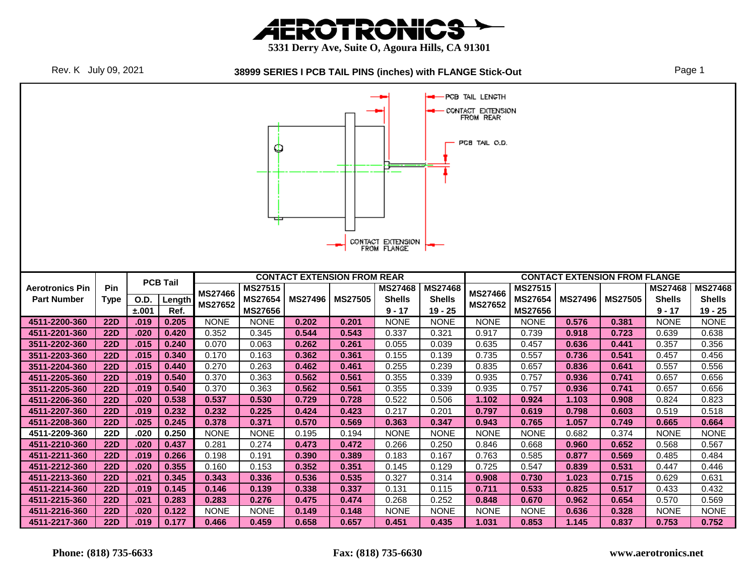





|                        |            |               |                 |                | Φ                                |                |                                    | CONTACT EXTENSION<br>FROM FLANGE |                          | PCB TAIL LENGTH<br>CONTACT EXTENSION<br>FROM REAR<br>PCB TAIL O.D. |                           |                |                                      |                                 |                                 |
|------------------------|------------|---------------|-----------------|----------------|----------------------------------|----------------|------------------------------------|----------------------------------|--------------------------|--------------------------------------------------------------------|---------------------------|----------------|--------------------------------------|---------------------------------|---------------------------------|
|                        |            |               | <b>PCB Tail</b> |                |                                  |                | <b>CONTACT EXTENSION FROM REAR</b> |                                  |                          |                                                                    |                           |                | <b>CONTACT EXTENSION FROM FLANGE</b> |                                 |                                 |
| <b>Aerotronics Pin</b> | <b>Pin</b> |               |                 | <b>MS27466</b> | <b>MS27515</b><br><b>MS27654</b> | <b>MS27496</b> | <b>MS27505</b>                     | <b>MS27468</b><br><b>Shells</b>  | <b>MS27468</b>           | <b>MS27466</b>                                                     | MS27515<br><b>MS27654</b> | <b>MS27496</b> | <b>MS27505</b>                       | <b>MS27468</b><br><b>Shells</b> | <b>MS27468</b><br><b>Shells</b> |
| <b>Part Number</b>     | Type       | O.D.<br>±.001 | Length<br>Ref.  | <b>MS27652</b> | <b>MS27656</b>                   |                |                                    | $9 - 17$                         | <b>Shells</b><br>19 - 25 | <b>MS27652</b>                                                     | <b>MS27656</b>            |                |                                      | 9 - 17                          | 19 - 25                         |
| 4511-2200-360          | <b>22D</b> | .019          | 0.205           | <b>NONE</b>    | <b>NONE</b>                      | 0.202          | 0.201                              | <b>NONE</b>                      | <b>NONE</b>              | <b>NONE</b>                                                        | <b>NONE</b>               | 0.576          | 0.381                                | <b>NONE</b>                     | <b>NONE</b>                     |
| 4511-2201-360          | <b>22D</b> | .020          | 0.420           | 0.352          | 0.345                            | 0.544          | 0.543                              | 0.337                            | 0.321                    | 0.917                                                              | 0.739                     | 0.918          | 0.723                                | 0.639                           | 0.638                           |
| 3511-2202-360          | <b>22D</b> | .015          | 0.240           | 0.070          | 0.063                            | 0.262          | 0.261                              | 0.055                            | 0.039                    | 0.635                                                              | 0.457                     | 0.636          | 0.441                                | 0.357                           | 0.356                           |
| 3511-2203-360          | <b>22D</b> | .015          | 0.340           | 0.170          | 0.163                            | 0.362          | 0.361                              | 0.155                            | 0.139                    | 0.735                                                              | 0.557                     | 0.736          | 0.541                                | 0.457                           | 0.456                           |
| 3511-2204-360          | <b>22D</b> | .015          | 0.440           | 0.270          | 0.263                            | 0.462          | 0.461                              | 0.255                            | 0.239                    | 0.835                                                              | 0.657                     | 0.836          | 0.641                                | 0.557                           | 0.556                           |
| 4511-2205-360          | <b>22D</b> | .019          | 0.540           | 0.370          | 0.363                            | 0.562          | 0.561                              | 0.355                            | 0.339                    | 0.935                                                              | 0.757                     | 0.936          | 0.741                                | 0.657                           | 0.656                           |
| 3511-2205-360          | <b>22D</b> | .019          | 0.540           | 0.370          | 0.363                            | 0.562          | 0.561                              | 0.355                            | 0.339                    | 0.935                                                              | 0.757                     | 0.936          | 0.741                                | 0.657                           | 0.656                           |
| 4511-2206-360          | <b>22D</b> | .020          | 0.538           | 0.537          | 0.530                            | 0.729          | 0.728                              | 0.522                            | 0.506                    | 1.102                                                              | 0.924                     | 1.103          | 0.908                                | 0.824                           | 0.823                           |
| 4511-2207-360          | <b>22D</b> | .019          | 0.232           | 0.232          | 0.225                            | 0.424          | 0.423                              | 0.217                            | 0.201                    | 0.797                                                              | 0.619                     | 0.798          | 0.603                                | 0.519                           | 0.518                           |
| 4511-2208-360          | <b>22D</b> | .025          | 0.245           | 0.378          | 0.371                            | 0.570          | 0.569                              | 0.363                            | 0.347                    | 0.943                                                              | 0.765                     | 1.057          | 0.749                                | 0.665                           | 0.664                           |
| 4511-2209-360          | <b>22D</b> | .020          | 0.250           | <b>NONE</b>    | <b>NONE</b>                      | 0.195          | 0.194                              | <b>NONE</b>                      | <b>NONE</b>              | <b>NONE</b>                                                        | <b>NONE</b>               | 0.682          | 0.374                                | <b>NONE</b>                     | <b>NONE</b>                     |
| 4511-2210-360          | <b>22D</b> | .020          | 0.437           | 0.281          | 0.274                            | 0.473          | 0.472                              | 0.266                            | 0.250                    | 0.846                                                              | 0.668                     | 0.960          | 0.652                                | 0.568                           | 0.567                           |
| 4511-2211-360          | <b>22D</b> | .019          | 0.266           | 0.198          | 0.191                            | 0.390          | 0.389                              | 0.183                            | 0.167                    | 0.763                                                              | 0.585                     | 0.877          | 0.569                                | 0.485                           | 0.484                           |
| 4511-2212-360          | <b>22D</b> | .020          | 0.355           | 0.160          | 0.153                            | 0.352          | 0.351                              | 0.145                            | 0.129                    | 0.725                                                              | 0.547                     | 0.839          | 0.531                                | 0.447                           | 0.446                           |
| 4511-2213-360          | <b>22D</b> | .021          | 0.345           | 0.343          | 0.336                            | 0.536          | 0.535                              | 0.327                            | 0.314                    | 0.908                                                              | 0.730                     | 1.023          | 0.715                                | 0.629                           | 0.631                           |
| 4511-2214-360          | <b>22D</b> | .019          | 0.145           | 0.146          | 0.139                            | 0.338          | 0.337                              | 0.131                            | 0.115                    | 0.711                                                              | 0.533                     | 0.825          | 0.517                                | 0.433                           | 0.432                           |
| 4511-2215-360          | <b>22D</b> | .021          | 0.283           | 0.283          | 0.276                            | 0.475          | 0.474                              | 0.268                            | 0.252                    | 0.848                                                              | 0.670                     | 0.962          | 0.654                                | 0.570                           | 0.569                           |
| 4511-2216-360          | <b>22D</b> | .020          | 0.122           | <b>NONE</b>    | <b>NONE</b>                      | 0.149          | 0.148                              | <b>NONE</b>                      | <b>NONE</b>              | <b>NONE</b>                                                        | <b>NONE</b>               | 0.636          | 0.328                                | <b>NONE</b>                     | <b>NONE</b>                     |
| 4511-2217-360          | <b>22D</b> | .019          | 0.177           | 0.466          | 0.459                            | 0.658          | 0.657                              | 0.451                            | 0.435                    | 1.031                                                              | 0.853                     | 1.145          | 0.837                                | 0.753                           | 0.752                           |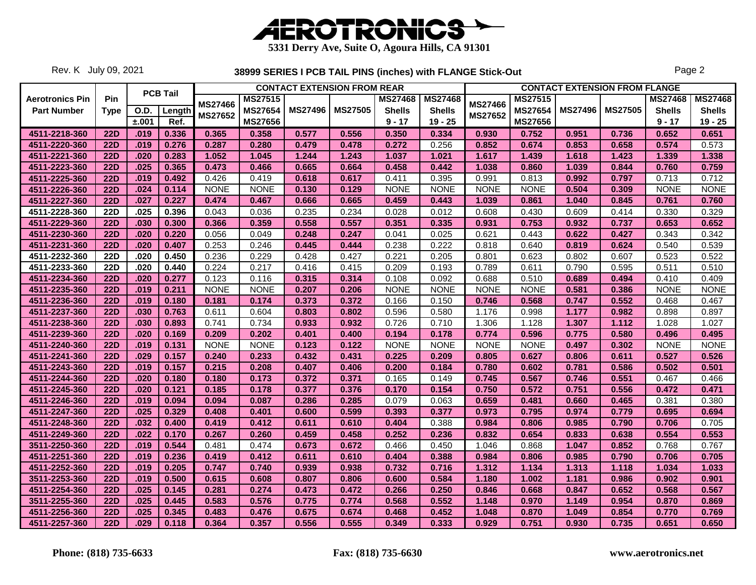

Rev. K July 09, 2021

|                        |             |             |                 |                |                | <b>CONTACT EXTENSION FROM REAR</b> |                |                |                |                |                |                | <b>CONTACT EXTENSION FROM FLANGE</b> |                |                |
|------------------------|-------------|-------------|-----------------|----------------|----------------|------------------------------------|----------------|----------------|----------------|----------------|----------------|----------------|--------------------------------------|----------------|----------------|
| <b>Aerotronics Pin</b> | Pin         |             | <b>PCB Tail</b> |                | <b>MS27515</b> |                                    |                | <b>MS27468</b> | <b>MS27468</b> |                | <b>MS27515</b> |                |                                      | <b>MS27468</b> | <b>MS27468</b> |
| <b>Part Number</b>     | <b>Type</b> | <b>O.D.</b> | Length          | <b>MS27466</b> | <b>MS27654</b> | <b>MS27496</b>                     | <b>MS27505</b> | <b>Shells</b>  | <b>Shells</b>  | <b>MS27466</b> | <b>MS27654</b> | <b>MS27496</b> | <b>MS27505</b>                       | <b>Shells</b>  | <b>Shells</b>  |
|                        |             | ±.001       | Ref.            | MS27652        | <b>MS27656</b> |                                    |                | $9 - 17$       | $19 - 25$      | MS27652        | MS27656        |                |                                      | $9 - 17$       | $19 - 25$      |
| 4511-2218-360          | <b>22D</b>  | .019        | 0.336           | 0.365          | 0.358          | 0.577                              | 0.556          | 0.350          | 0.334          | 0.930          | 0.752          | 0.951          | 0.736                                | 0.652          | 0.651          |
| 4511-2220-360          | <b>22D</b>  | .019        | 0.276           | 0.287          | 0.280          | 0.479                              | 0.478          | 0.272          | 0.256          | 0.852          | 0.674          | 0.853          | 0.658                                | 0.574          | 0.573          |
| 4511-2221-360          | <b>22D</b>  | .020        | 0.283           | 1.052          | 1.045          | 1.244                              | 1.243          | 1.037          | 1.021          | 1.617          | 1.439          | 1.618          | 1.423                                | 1.339          | 1.338          |
| 4511-2223-360          | <b>22D</b>  | .025        | 0.365           | 0.473          | 0.466          | 0.665                              | 0.664          | 0.458          | 0.442          | 1.038          | 0.860          | 1.039          | 0.844                                | 0.760          | 0.759          |
| 4511-2225-360          | <b>22D</b>  | .019        | 0.492           | 0.426          | 0.419          | 0.618                              | 0.617          | 0.411          | 0.395          | 0.991          | 0.813          | 0.992          | 0.797                                | 0.713          | 0.712          |
| 4511-2226-360          | <b>22D</b>  | .024        | 0.114           | <b>NONE</b>    | <b>NONE</b>    | 0.130                              | 0.129          | <b>NONE</b>    | <b>NONE</b>    | <b>NONE</b>    | <b>NONE</b>    | 0.504          | 0.309                                | <b>NONE</b>    | <b>NONE</b>    |
| 4511-2227-360          | <b>22D</b>  | .027        | 0.227           | 0.474          | 0.467          | 0.666                              | 0.665          | 0.459          | 0.443          | 1.039          | 0.861          | 1.040          | 0.845                                | 0.761          | 0.760          |
| 4511-2228-360          | <b>22D</b>  | .025        | 0.396           | 0.043          | 0.036          | 0.235                              | 0.234          | 0.028          | 0.012          | 0.608          | 0.430          | 0.609          | 0.414                                | 0.330          | 0.329          |
| 4511-2229-360          | <b>22D</b>  | .030        | 0.300           | 0.366          | 0.359          | 0.558                              | 0.557          | 0.351          | 0.335          | 0.931          | 0.753          | 0.932          | 0.737                                | 0.653          | 0.652          |
| 4511-2230-360          | <b>22D</b>  | .020        | 0.220           | 0.056          | 0.049          | 0.248                              | 0.247          | 0.041          | 0.025          | 0.621          | 0.443          | 0.622          | 0.427                                | 0.343          | 0.342          |
| 4511-2231-360          | <b>22D</b>  | .020        | 0.407           | 0.253          | 0.246          | 0.445                              | 0.444          | 0.238          | 0.222          | 0.818          | 0.640          | 0.819          | 0.624                                | 0.540          | 0.539          |
| 4511-2232-360          | <b>22D</b>  | .020        | 0.450           | 0.236          | 0.229          | 0.428                              | 0.427          | 0.221          | 0.205          | 0.801          | 0.623          | 0.802          | 0.607                                | 0.523          | 0.522          |
| 4511-2233-360          | 22D         | .020        | 0.440           | 0.224          | 0.217          | 0.416                              | 0.415          | 0.209          | 0.193          | 0.789          | 0.611          | 0.790          | 0.595                                | 0.511          | 0.510          |
| 4511-2234-360          | <b>22D</b>  | .020        | 0.277           | 0.123          | 0.116          | 0.315                              | 0.314          | 0.108          | 0.092          | 0.688          | 0.510          | 0.689          | 0.494                                | 0.410          | 0.409          |
| 4511-2235-360          | <b>22D</b>  | .019        | 0.211           | <b>NONE</b>    | <b>NONE</b>    | 0.207                              | 0.206          | <b>NONE</b>    | <b>NONE</b>    | <b>NONE</b>    | <b>NONE</b>    | 0.581          | 0.386                                | <b>NONE</b>    | <b>NONE</b>    |
| 4511-2236-360          | <b>22D</b>  | .019        | 0.180           | 0.181          | 0.174          | 0.373                              | 0.372          | 0.166          | 0.150          | 0.746          | 0.568          | 0.747          | 0.552                                | 0.468          | 0.467          |
| 4511-2237-360          | 22D         | .030        | 0.763           | 0.611          | 0.604          | 0.803                              | 0.802          | 0.596          | 0.580          | 1.176          | 0.998          | 1.177          | 0.982                                | 0.898          | 0.897          |
| 4511-2238-360          | <b>22D</b>  | .030        | 0.893           | 0.741          | 0.734          | 0.933                              | 0.932          | 0.726          | 0.710          | 1.306          | 1.128          | 1.307          | 1.112                                | 1.028          | 1.027          |
| 4511-2239-360          | <b>22D</b>  | .020        | 0.169           | 0.209          | 0.202          | 0.401                              | 0.400          | 0.194          | 0.178          | 0.774          | 0.596          | 0.775          | 0.580                                | 0.496          | 0.495          |
| 4511-2240-360          | <b>22D</b>  | .019        | 0.131           | <b>NONE</b>    | <b>NONE</b>    | 0.123                              | 0.122          | <b>NONE</b>    | <b>NONE</b>    | <b>NONE</b>    | <b>NONE</b>    | 0.497          | 0.302                                | <b>NONE</b>    | <b>NONE</b>    |
| 4511-2241-360          | <b>22D</b>  | .029        | 0.157           | 0.240          | 0.233          | 0.432                              | 0.431          | 0.225          | 0.209          | 0.805          | 0.627          | 0.806          | 0.611                                | 0.527          | 0.526          |
| 4511-2243-360          | <b>22D</b>  | .019        | 0.157           | 0.215          | 0.208          | 0.407                              | 0.406          | 0.200          | 0.184          | 0.780          | 0.602          | 0.781          | 0.586                                | 0.502          | 0.501          |
| 4511-2244-360          | <b>22D</b>  | .020        | 0.180           | 0.180          | 0.173          | 0.372                              | 0.371          | 0.165          | 0.149          | 0.745          | 0.567          | 0.746          | 0.551                                | 0.467          | 0.466          |
| 4511-2245-360          | <b>22D</b>  | .020        | 0.121           | 0.185          | 0.178          | 0.377                              | 0.376          | 0.170          | 0.154          | 0.750          | 0.572          | 0.751          | 0.556                                | 0.472          | 0.471          |
| 4511-2246-360          | <b>22D</b>  | .019        | 0.094           | 0.094          | 0.087          | 0.286                              | 0.285          | 0.079          | 0.063          | 0.659          | 0.481          | 0.660          | 0.465                                | 0.381          | 0.380          |
| 4511-2247-360          | <b>22D</b>  | .025        | 0.329           | 0.408          | 0.401          | 0.600                              | 0.599          | 0.393          | 0.377          | 0.973          | 0.795          | 0.974          | 0.779                                | 0.695          | 0.694          |
| 4511-2248-360          | <b>22D</b>  | .032        | 0.400           | 0.419          | 0.412          | 0.611                              | 0.610          | 0.404          | 0.388          | 0.984          | 0.806          | 0.985          | 0.790                                | 0.706          | 0.705          |
| 4511-2249-360          | <b>22D</b>  | .022        | 0.170           | 0.267          | 0.260          | 0.459                              | 0.458          | 0.252          | 0.236          | 0.832          | 0.654          | 0.833          | 0.638                                | 0.554          | 0.553          |
| 3511-2250-360          | <b>22D</b>  | .019        | 0.544           | 0.481          | 0.474          | 0.673                              | 0.672          | 0.466          | 0.450          | 1.046          | 0.868          | 1.047          | 0.852                                | 0.768          | 0.767          |
| 4511-2251-360          | <b>22D</b>  | .019        | 0.236           | 0.419          | 0.412          | 0.611                              | 0.610          | 0.404          | 0.388          | 0.984          | 0.806          | 0.985          | 0.790                                | 0.706          | 0.705          |
| 4511-2252-360          | <b>22D</b>  | .019        | 0.205           | 0.747          | 0.740          | 0.939                              | 0.938          | 0.732          | 0.716          | 1.312          | 1.134          | 1.313          | 1.118                                | 1.034          | 1.033          |
| 3511-2253-360          | <b>22D</b>  | .019        | 0.500           | 0.615          | 0.608          | 0.807                              | 0.806          | 0.600          | 0.584          | 1.180          | 1.002          | 1.181          | 0.986                                | 0.902          | 0.901          |
| 4511-2254-360          | <b>22D</b>  | .025        | 0.145           | 0.281          | 0.274          | 0.473                              | 0.472          | 0.266          | 0.250          | 0.846          | 0.668          | 0.847          | 0.652                                | 0.568          | 0.567          |
| 3511-2255-360          | <b>22D</b>  | .025        | 0.445           | 0.583          | 0.576          | 0.775                              | 0.774          | 0.568          | 0.552          | 1.148          | 0.970          | 1.149          | 0.954                                | 0.870          | 0.869          |
| 4511-2256-360          | <b>22D</b>  | .025        | 0.345           | 0.483          | 0.476          | 0.675                              | 0.674          | 0.468          | 0.452          | 1.048          | 0.870          | 1.049          | 0.854                                | 0.770          | 0.769          |
| 4511-2257-360          | 22D         | .029        | 0.118           | 0.364          | 0.357          | 0.556                              | 0.555          | 0.349          | 0.333          | 0.929          | 0.751          | 0.930          | 0.735                                | 0.651          | 0.650          |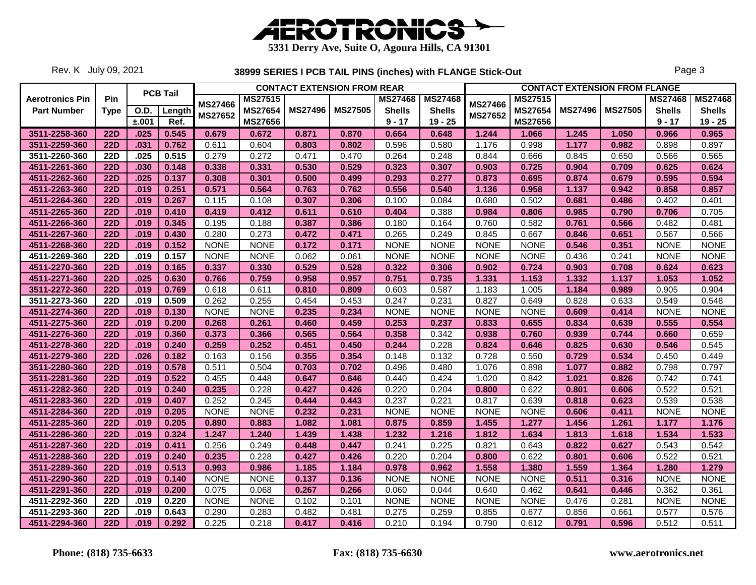

Rev. K July 09, 2021

|                        |             |             |                 |                |                |                | <b>CONTACT EXTENSION FROM REAR</b> |                |                |                |                |                | <b>CONTACT EXTENSION FROM FLANGE</b> |                |                |
|------------------------|-------------|-------------|-----------------|----------------|----------------|----------------|------------------------------------|----------------|----------------|----------------|----------------|----------------|--------------------------------------|----------------|----------------|
| <b>Aerotronics Pin</b> | Pin         |             | <b>PCB Tail</b> |                | <b>MS27515</b> |                |                                    | <b>MS27468</b> | <b>MS27468</b> |                | <b>MS27515</b> |                |                                      | <b>MS27468</b> | <b>MS27468</b> |
| <b>Part Number</b>     | <b>Type</b> | <b>O.D.</b> | Length          | <b>MS27466</b> | <b>MS27654</b> | <b>MS27496</b> | <b>MS27505</b>                     | <b>Shells</b>  | <b>Shells</b>  | <b>MS27466</b> | <b>MS27654</b> | <b>MS27496</b> | <b>MS27505</b>                       | <b>Shells</b>  | <b>Shells</b>  |
|                        |             | ±.001       | Ref.            | MS27652        | <b>MS27656</b> |                |                                    | $9 - 17$       | $19 - 25$      | <b>MS27652</b> | MS27656        |                |                                      | $9 - 17$       | $19 - 25$      |
| 3511-2258-360          | <b>22D</b>  | .025        | 0.545           | 0.679          | 0.672          | 0.871          | 0.870                              | 0.664          | 0.648          | 1.244          | 1.066          | 1.245          | 1.050                                | 0.966          | 0.965          |
| 3511-2259-360          | <b>22D</b>  | .031        | 0.762           | 0.611          | 0.604          | 0.803          | 0.802                              | 0.596          | 0.580          | 1.176          | 0.998          | 1.177          | 0.982                                | 0.898          | 0.897          |
| 3511-2260-360          | <b>22D</b>  | .025        | 0.515           | 0.279          | 0.272          | 0.471          | 0.470                              | 0.264          | 0.248          | 0.844          | 0.666          | 0.845          | 0.650                                | 0.566          | 0.565          |
| 4511-2261-360          | <b>22D</b>  | .030        | 0.148           | 0.338          | 0.331          | 0.530          | 0.529                              | 0.323          | 0.307          | 0.903          | 0.725          | 0.904          | 0.709                                | 0.625          | 0.624          |
| 4511-2262-360          | <b>22D</b>  | .025        | 0.137           | 0.308          | 0.301          | 0.500          | 0.499                              | 0.293          | 0.277          | 0.873          | 0.695          | 0.874          | 0.679                                | 0.595          | 0.594          |
| 4511-2263-360          | <b>22D</b>  | .019        | 0.251           | 0.571          | 0.564          | 0.763          | 0.762                              | 0.556          | 0.540          | 1.136          | 0.958          | 1.137          | 0.942                                | 0.858          | 0.857          |
| 4511-2264-360          | <b>22D</b>  | .019        | 0.267           | 0.115          | 0.108          | 0.307          | 0.306                              | 0.100          | 0.084          | 0.680          | 0.502          | 0.681          | 0.486                                | 0.402          | 0.401          |
| 4511-2265-360          | <b>22D</b>  | .019        | 0.410           | 0.419          | 0.412          | 0.611          | 0.610                              | 0.404          | 0.388          | 0.984          | 0.806          | 0.985          | 0.790                                | 0.706          | 0.705          |
| 4511-2266-360          | <b>22D</b>  | .019        | 0.345           | 0.195          | 0.188          | 0.387          | 0.386                              | 0.180          | 0.164          | 0.760          | 0.582          | 0.761          | 0.566                                | 0.482          | 0.481          |
| 4511-2267-360          | <b>22D</b>  | .019        | 0.430           | 0.280          | 0.273          | 0.472          | 0.471                              | 0.265          | 0.249          | 0.845          | 0.667          | 0.846          | 0.651                                | 0.567          | 0.566          |
| 4511-2268-360          | <b>22D</b>  | .019        | 0.152           | <b>NONE</b>    | <b>NONE</b>    | 0.172          | 0.171                              | <b>NONE</b>    | <b>NONE</b>    | <b>NONE</b>    | <b>NONE</b>    | 0.546          | 0.351                                | <b>NONE</b>    | <b>NONE</b>    |
| 4511-2269-360          | <b>22D</b>  | .019        | 0.157           | <b>NONE</b>    | <b>NONE</b>    | 0.062          | 0.061                              | <b>NONE</b>    | <b>NONE</b>    | <b>NONE</b>    | <b>NONE</b>    | 0.436          | 0.241                                | <b>NONE</b>    | <b>NONE</b>    |
| 4511-2270-360          | <b>22D</b>  | .019        | 0.165           | 0.337          | 0.330          | 0.529          | 0.528                              | 0.322          | 0.306          | 0.902          | 0.724          | 0.903          | 0.708                                | 0.624          | 0.623          |
| 4511-2271-360          | <b>22D</b>  | .025        | 0.630           | 0.766          | 0.759          | 0.958          | 0.957                              | 0.751          | 0.735          | 1.331          | 1.153          | 1.332          | 1.137                                | 1.053          | 1.052          |
| 3511-2272-360          | 22D         | .019        | 0.769           | 0.618          | 0.611          | 0.810          | 0.809                              | 0.603          | 0.587          | 1.183          | 1.005          | 1.184          | 0.989                                | 0.905          | 0.904          |
| 3511-2273-360          | <b>22D</b>  | .019        | 0.509           | 0.262          | 0.255          | 0.454          | 0.453                              | 0.247          | 0.231          | 0.827          | 0.649          | 0.828          | 0.633                                | 0.549          | 0.548          |
| 4511-2274-360          | <b>22D</b>  | .019        | 0.130           | <b>NONE</b>    | <b>NONE</b>    | 0.235          | 0.234                              | <b>NONE</b>    | <b>NONE</b>    | <b>NONE</b>    | <b>NONE</b>    | 0.609          | 0.414                                | <b>NONE</b>    | <b>NONE</b>    |
| 4511-2275-360          | 22D         | .019        | 0.200           | 0.268          | 0.261          | 0.460          | 0.459                              | 0.253          | 0.237          | 0.833          | 0.655          | 0.834          | 0.639                                | 0.555          | 0.554          |
| 4511-2276-360          | <b>22D</b>  | .019        | 0.360           | 0.373          | 0.366          | 0.565          | 0.564                              | 0.358          | 0.342          | 0.938          | 0.760          | 0.939          | 0.744                                | 0.660          | 0.659          |
| 4511-2278-360          | <b>22D</b>  | .019        | 0.240           | 0.259          | 0.252          | 0.451          | 0.450                              | 0.244          | 0.228          | 0.824          | 0.646          | 0.825          | 0.630                                | 0.546          | 0.545          |
| 4511-2279-360          | <b>22D</b>  | .026        | 0.182           | 0.163          | 0.156          | 0.355          | 0.354                              | 0.148          | 0.132          | 0.728          | 0.550          | 0.729          | 0.534                                | 0.450          | 0.449          |
| 3511-2280-360          | <b>22D</b>  | .019        | 0.578           | 0.511          | 0.504          | 0.703          | 0.702                              | 0.496          | 0.480          | 1.076          | 0.898          | 1.077          | 0.882                                | 0.798          | 0.797          |
| 3511-2281-360          | <b>22D</b>  | .019        | 0.522           | 0.455          | 0.448          | 0.647          | 0.646                              | 0.440          | 0.424          | 1.020          | 0.842          | 1.021          | 0.826                                | 0.742          | 0.741          |
| 4511-2282-360          | <b>22D</b>  | .019        | 0.240           | 0.235          | 0.228          | 0.427          | 0.426                              | 0.220          | 0.204          | 0.800          | 0.622          | 0.801          | 0.606                                | 0.522          | 0.521          |
| 4511-2283-360          | <b>22D</b>  | .019        | 0.407           | 0.252          | 0.245          | 0.444          | 0.443                              | 0.237          | 0.221          | 0.817          | 0.639          | 0.818          | 0.623                                | 0.539          | 0.538          |
| 4511-2284-360          | <b>22D</b>  | .019        | 0.205           | <b>NONE</b>    | <b>NONE</b>    | 0.232          | 0.231                              | <b>NONE</b>    | <b>NONE</b>    | <b>NONE</b>    | <b>NONE</b>    | 0.606          | 0.411                                | <b>NONE</b>    | <b>NONE</b>    |
| 4511-2285-360          | <b>22D</b>  | .019        | 0.205           | 0.890          | 0.883          | 1.082          | 1.081                              | 0.875          | 0.859          | 1.455          | 1.277          | 1.456          | 1.261                                | 1.177          | 1.176          |
| 4511-2286-360          | <b>22D</b>  | .019        | 0.324           | 1.247          | 1.240          | 1.439          | 1.438                              | 1.232          | 1.216          | 1.812          | 1.634          | 1.813          | 1.618                                | 1.534          | 1.533          |
| 4511-2287-360          | <b>22D</b>  | .019        | 0.411           | 0.256          | 0.249          | 0.448          | 0.447                              | 0.241          | 0.225          | 0.821          | 0.643          | 0.822          | 0.627                                | 0.543          | 0.542          |
| 4511-2288-360          | <b>22D</b>  | .019        | 0.240           | 0.235          | 0.228          | 0.427          | 0.426                              | 0.220          | 0.204          | 0.800          | 0.622          | 0.801          | 0.606                                | 0.522          | 0.521          |
| 3511-2289-360          | <b>22D</b>  | .019        | 0.513           | 0.993          | 0.986          | 1.185          | 1.184                              | 0.978          | 0.962          | 1.558          | 1.380          | 1.559          | 1.364                                | 1.280          | 1.279          |
| 4511-2290-360          | <b>22D</b>  | .019        | 0.140           | <b>NONE</b>    | <b>NONE</b>    | 0.137          | 0.136                              | <b>NONE</b>    | <b>NONE</b>    | <b>NONE</b>    | <b>NONE</b>    | 0.511          | 0.316                                | <b>NONE</b>    | <b>NONE</b>    |
| 4511-2291-360          | <b>22D</b>  | .019        | 0.200           | 0.075          | 0.068          | 0.267          | 0.266                              | 0.060          | 0.044          | 0.640          | 0.462          | 0.641          | 0.446                                | 0.362          | 0.361          |
| 4511-2292-360          | 22D         | .019        | 0.220           | <b>NONE</b>    | <b>NONE</b>    | 0.102          | 0.101                              | <b>NONE</b>    | <b>NONE</b>    | <b>NONE</b>    | <b>NONE</b>    | 0.476          | 0.281                                | <b>NONE</b>    | <b>NONE</b>    |
| 4511-2293-360          | <b>22D</b>  | .019        | 0.643           | 0.290          | 0.283          | 0.482          | 0.481                              | 0.275          | 0.259          | 0.855          | 0.677          | 0.856          | 0.661                                | 0.577          | 0.576          |
| 4511-2294-360          | 22D         | .019        | 0.292           | 0.225          | 0.218          | 0.417          | 0.416                              | 0.210          | 0.194          | 0.790          | 0.612          | 0.791          | 0.596                                | 0.512          | 0.511          |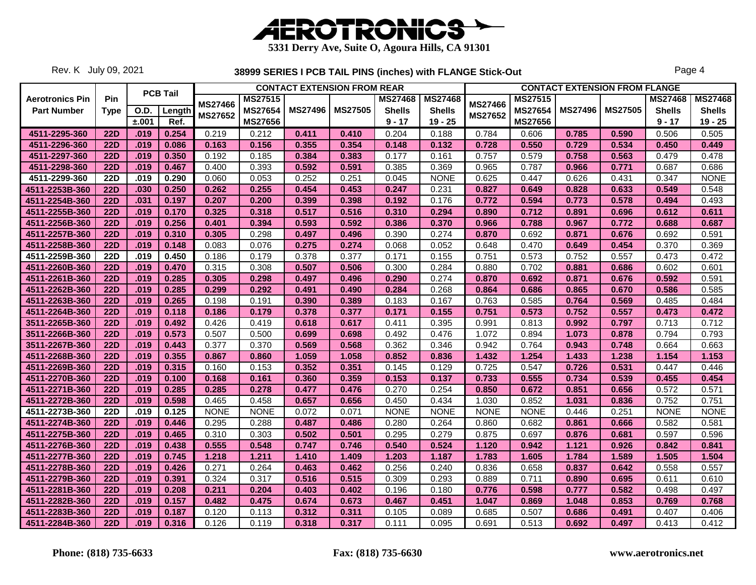

Rev. K July 09, 2021

|                        |             |             |                 |                |                |                | <b>CONTACT EXTENSION FROM REAR</b> |                |                |                |                |                | <b>CONTACT EXTENSION FROM FLANGE</b> |                |                |
|------------------------|-------------|-------------|-----------------|----------------|----------------|----------------|------------------------------------|----------------|----------------|----------------|----------------|----------------|--------------------------------------|----------------|----------------|
| <b>Aerotronics Pin</b> | Pin         |             | <b>PCB Tail</b> |                | <b>MS27515</b> |                |                                    | <b>MS27468</b> | <b>MS27468</b> |                | <b>MS27515</b> |                |                                      | <b>MS27468</b> | <b>MS27468</b> |
| <b>Part Number</b>     | <b>Type</b> | <b>O.D.</b> | Length          | <b>MS27466</b> | <b>MS27654</b> | <b>MS27496</b> | <b>MS27505</b>                     | <b>Shells</b>  | <b>Shells</b>  | <b>MS27466</b> | <b>MS27654</b> | <b>MS27496</b> | <b>MS27505</b>                       | <b>Shells</b>  | <b>Shells</b>  |
|                        |             | ±.001       | Ref.            | <b>MS27652</b> | MS27656        |                |                                    | $9 - 17$       | $19 - 25$      | MS27652        | MS27656        |                |                                      | $9 - 17$       | $19 - 25$      |
| 4511-2295-360          | <b>22D</b>  | .019        | 0.254           | 0.219          | 0.212          | 0.411          | 0.410                              | 0.204          | 0.188          | 0.784          | 0.606          | 0.785          | 0.590                                | 0.506          | 0.505          |
| 4511-2296-360          | <b>22D</b>  | .019        | 0.086           | 0.163          | 0.156          | 0.355          | 0.354                              | 0.148          | 0.132          | 0.728          | 0.550          | 0.729          | 0.534                                | 0.450          | 0.449          |
| 4511-2297-360          | <b>22D</b>  | .019        | 0.350           | 0.192          | 0.185          | 0.384          | 0.383                              | 0.177          | 0.161          | 0.757          | 0.579          | 0.758          | 0.563                                | 0.479          | 0.478          |
| 4511-2298-360          | <b>22D</b>  | .019        | 0.467           | 0.400          | 0.393          | 0.592          | 0.591                              | 0.385          | 0.369          | 0.965          | 0.787          | 0.966          | 0.771                                | 0.687          | 0.686          |
| 4511-2299-360          | <b>22D</b>  | .019        | 0.290           | 0.060          | 0.053          | 0.252          | 0.251                              | 0.045          | <b>NONE</b>    | 0.625          | 0.447          | 0.626          | 0.431                                | 0.347          | <b>NONE</b>    |
| 4511-2253B-360         | <b>22D</b>  | .030        | 0.250           | 0.262          | 0.255          | 0.454          | 0.453                              | 0.247          | 0.231          | 0.827          | 0.649          | 0.828          | 0.633                                | 0.549          | 0.548          |
| 4511-2254B-360         | <b>22D</b>  | .031        | 0.197           | 0.207          | 0.200          | 0.399          | 0.398                              | 0.192          | 0.176          | 0.772          | 0.594          | 0.773          | 0.578                                | 0.494          | 0.493          |
| 4511-2255B-360         | <b>22D</b>  | .019        | 0.170           | 0.325          | 0.318          | 0.517          | 0.516                              | 0.310          | 0.294          | 0.890          | 0.712          | 0.891          | 0.696                                | 0.612          | 0.611          |
| 4511-2256B-360         | <b>22D</b>  | .019        | 0.256           | 0.401          | 0.394          | 0.593          | 0.592                              | 0.386          | 0.370          | 0.966          | 0.788          | 0.967          | 0.772                                | 0.688          | 0.687          |
| 4511-2257B-360         | <b>22D</b>  | .019        | 0.310           | 0.305          | 0.298          | 0.497          | 0.496                              | 0.390          | 0.274          | 0.870          | 0.692          | 0.871          | 0.676                                | 0.692          | 0.591          |
| 4511-2258B-360         | <b>22D</b>  | .019        | 0.148           | 0.083          | 0.076          | 0.275          | 0.274                              | 0.068          | 0.052          | 0.648          | 0.470          | 0.649          | 0.454                                | 0.370          | 0.369          |
| 4511-2259B-360         | 22D         | .019        | 0.450           | 0.186          | 0.179          | 0.378          | 0.377                              | 0.171          | 0.155          | 0.751          | 0.573          | 0.752          | 0.557                                | 0.473          | 0.472          |
| 4511-2260B-360         | <b>22D</b>  | .019        | 0.470           | 0.315          | 0.308          | 0.507          | 0.506                              | 0.300          | 0.284          | 0.880          | 0.702          | 0.881          | 0.686                                | 0.602          | 0.601          |
| 4511-2261B-360         | <b>22D</b>  | .019        | 0.285           | 0.305          | 0.298          | 0.497          | 0.496                              | 0.290          | 0.274          | 0.870          | 0.692          | 0.871          | 0.676                                | 0.592          | 0.591          |
| 4511-2262B-360         | 22D         | .019        | 0.285           | 0.299          | 0.292          | 0.491          | 0.490                              | 0.284          | 0.268          | 0.864          | 0.686          | 0.865          | 0.670                                | 0.586          | 0.585          |
| 4511-2263B-360         | <b>22D</b>  | .019        | 0.265           | 0.198          | 0.191          | 0.390          | 0.389                              | 0.183          | 0.167          | 0.763          | 0.585          | 0.764          | 0.569                                | 0.485          | 0.484          |
| 4511-2264B-360         | <b>22D</b>  | .019        | 0.118           | 0.186          | 0.179          | 0.378          | 0.377                              | 0.171          | 0.155          | 0.751          | 0.573          | 0.752          | 0.557                                | 0.473          | 0.472          |
| 3511-2265B-360         | 22D         | .019        | 0.492           | 0.426          | 0.419          | 0.618          | 0.617                              | 0.411          | 0.395          | 0.991          | 0.813          | 0.992          | 0.797                                | 0.713          | 0.712          |
| 3511-2266B-360         | <b>22D</b>  | .019        | 0.573           | 0.507          | 0.500          | 0.699          | 0.698                              | 0.492          | 0.476          | 1.072          | 0.894          | 1.073          | 0.878                                | 0.794          | 0.793          |
| 3511-2267B-360         | <b>22D</b>  | .019        | 0.443           | 0.377          | 0.370          | 0.569          | 0.568                              | 0.362          | 0.346          | 0.942          | 0.764          | 0.943          | 0.748                                | 0.664          | 0.663          |
| 4511-2268B-360         | <b>22D</b>  | .019        | 0.355           | 0.867          | 0.860          | 1.059          | 1.058                              | 0.852          | 0.836          | 1.432          | 1.254          | 1.433          | 1.238                                | 1.154          | 1.153          |
| 4511-2269B-360         | 22D         | .019        | 0.315           | 0.160          | 0.153          | 0.352          | 0.351                              | 0.145          | 0.129          | 0.725          | 0.547          | 0.726          | 0.531                                | 0.447          | 0.446          |
| 4511-2270B-360         | <b>22D</b>  | .019        | 0.100           | 0.168          | 0.161          | 0.360          | 0.359                              | 0.153          | 0.137          | 0.733          | 0.555          | 0.734          | 0.539                                | 0.455          | 0.454          |
| 4511-2271B-360         | <b>22D</b>  | .019        | 0.285           | 0.285          | 0.278          | 0.477          | 0.476                              | 0.270          | 0.254          | 0.850          | 0.672          | 0.851          | 0.656                                | 0.572          | 0.571          |
| 4511-2272B-360         | <b>22D</b>  | .019        | 0.598           | 0.465          | 0.458          | 0.657          | 0.656                              | 0.450          | 0.434          | 1.030          | 0.852          | 1.031          | 0.836                                | 0.752          | 0.751          |
| 4511-2273B-360         | <b>22D</b>  | .019        | 0.125           | <b>NONE</b>    | <b>NONE</b>    | 0.072          | 0.071                              | <b>NONE</b>    | <b>NONE</b>    | <b>NONE</b>    | <b>NONE</b>    | 0.446          | 0.251                                | <b>NONE</b>    | <b>NONE</b>    |
| 4511-2274B-360         | <b>22D</b>  | .019        | 0.446           | 0.295          | 0.288          | 0.487          | 0.486                              | 0.280          | 0.264          | 0.860          | 0.682          | 0.861          | 0.666                                | 0.582          | 0.581          |
| 4511-2275B-360         | <b>22D</b>  | .019        | 0.465           | 0.310          | 0.303          | 0.502          | 0.501                              | 0.295          | 0.279          | 0.875          | 0.697          | 0.876          | 0.681                                | 0.597          | 0.596          |
| 4511-2276B-360         | <b>22D</b>  | .019        | 0.438           | 0.555          | 0.548          | 0.747          | 0.746                              | 0.540          | 0.524          | 1.120          | 0.942          | 1.121          | 0.926                                | 0.842          | 0.841          |
| 4511-2277B-360         | <b>22D</b>  | .019        | 0.745           | 1.218          | 1.211          | 1.410          | 1.409                              | 1.203          | 1.187          | 1.783          | 1.605          | 1.784          | 1.589                                | 1.505          | 1.504          |
| 4511-2278B-360         | <b>22D</b>  | .019        | 0.426           | 0.271          | 0.264          | 0.463          | 0.462                              | 0.256          | 0.240          | 0.836          | 0.658          | 0.837          | 0.642                                | 0.558          | 0.557          |
| 4511-2279B-360         | <b>22D</b>  | .019        | 0.391           | 0.324          | 0.317          | 0.516          | 0.515                              | 0.309          | 0.293          | 0.889          | 0.711          | 0.890          | 0.695                                | 0.611          | 0.610          |
| 4511-2281B-360         | <b>22D</b>  | .019        | 0.208           | 0.211          | 0.204          | 0.403          | 0.402                              | 0.196          | 0.180          | 0.776          | 0.598          | 0.777          | 0.582                                | 0.498          | 0.497          |
| 4511-2282B-360         | <b>22D</b>  | .019        | 0.157           | 0.482          | 0.475          | 0.674          | 0.673                              | 0.467          | 0.451          | 1.047          | 0.869          | 1.048          | 0.853                                | 0.769          | 0.768          |
| 4511-2283B-360         | <b>22D</b>  | .019        | 0.187           | 0.120          | 0.113          | 0.312          | 0.311                              | 0.105          | 0.089          | 0.685          | 0.507          | 0.686          | 0.491                                | 0.407          | 0.406          |
| 4511-2284B-360         | <b>22D</b>  | .019        | 0.316           | 0.126          | 0.119          | 0.318          | 0.317                              | 0.111          | 0.095          | 0.691          | 0.513          | 0.692          | 0.497                                | 0.413          | 0.412          |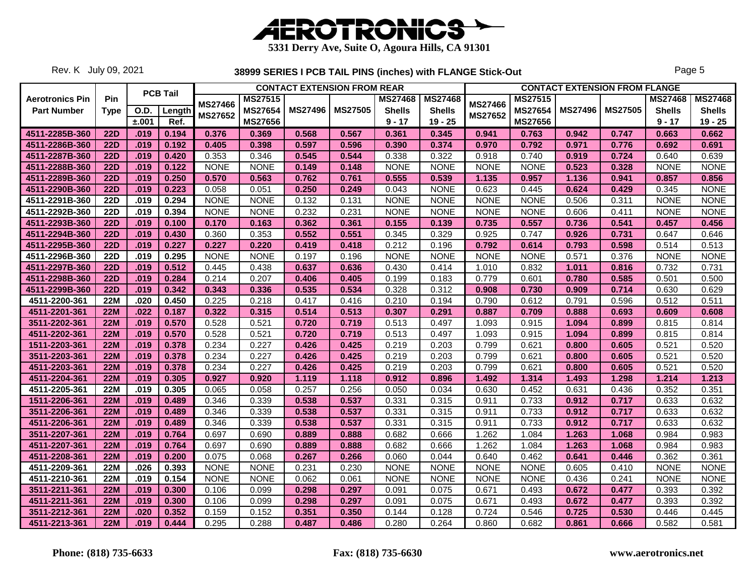

Rev. K July 09, 2021

|                        |             |             |                 |                |                | <b>CONTACT EXTENSION FROM REAR</b> |                |                |                |                |                |                | <b>CONTACT EXTENSION FROM FLANGE</b> |                |                |
|------------------------|-------------|-------------|-----------------|----------------|----------------|------------------------------------|----------------|----------------|----------------|----------------|----------------|----------------|--------------------------------------|----------------|----------------|
| <b>Aerotronics Pin</b> | Pin         |             | <b>PCB Tail</b> |                | <b>MS27515</b> |                                    |                | <b>MS27468</b> | <b>MS27468</b> |                | <b>MS27515</b> |                |                                      | <b>MS27468</b> | <b>MS27468</b> |
| <b>Part Number</b>     | <b>Type</b> | <b>O.D.</b> | Length          | <b>MS27466</b> | <b>MS27654</b> | <b>MS27496</b>                     | <b>MS27505</b> | <b>Shells</b>  | <b>Shells</b>  | <b>MS27466</b> | <b>MS27654</b> | <b>MS27496</b> | <b>MS27505</b>                       | <b>Shells</b>  | <b>Shells</b>  |
|                        |             | ±.001       | Ref.            | <b>MS27652</b> | MS27656        |                                    |                | $9 - 17$       | $19 - 25$      | <b>MS27652</b> | MS27656        |                |                                      | $9 - 17$       | $19 - 25$      |
| 4511-2285B-360         | <b>22D</b>  | .019        | 0.194           | 0.376          | 0.369          | 0.568                              | 0.567          | 0.361          | 0.345          | 0.941          | 0.763          | 0.942          | 0.747                                | 0.663          | 0.662          |
| 4511-2286B-360         | <b>22D</b>  | .019        | 0.192           | 0.405          | 0.398          | 0.597                              | 0.596          | 0.390          | 0.374          | 0.970          | 0.792          | 0.971          | 0.776                                | 0.692          | 0.691          |
| 4511-2287B-360         | <b>22D</b>  | .019        | 0.420           | 0.353          | 0.346          | 0.545                              | 0.544          | 0.338          | 0.322          | 0.918          | 0.740          | 0.919          | 0.724                                | 0.640          | 0.639          |
| 4511-2288B-360         | <b>22D</b>  | .019        | 0.122           | <b>NONE</b>    | <b>NONE</b>    | 0.149                              | 0.148          | <b>NONE</b>    | <b>NONE</b>    | <b>NONE</b>    | <b>NONE</b>    | 0.523          | 0.328                                | <b>NONE</b>    | <b>NONE</b>    |
| 4511-2289B-360         | <b>22D</b>  | .019        | 0.250           | 0.570          | 0.563          | 0.762                              | 0.761          | 0.555          | 0.539          | 1.135          | 0.957          | 1.136          | 0.941                                | 0.857          | 0.856          |
| 4511-2290B-360         | <b>22D</b>  | .019        | 0.223           | 0.058          | 0.051          | 0.250                              | 0.249          | 0.043          | <b>NONE</b>    | 0.623          | 0.445          | 0.624          | 0.429                                | 0.345          | <b>NONE</b>    |
| 4511-2291B-360         | <b>22D</b>  | .019        | 0.294           | <b>NONE</b>    | <b>NONE</b>    | 0.132                              | 0.131          | <b>NONE</b>    | <b>NONE</b>    | <b>NONE</b>    | <b>NONE</b>    | 0.506          | 0.311                                | <b>NONE</b>    | <b>NONE</b>    |
| 4511-2292B-360         | <b>22D</b>  | .019        | 0.394           | <b>NONE</b>    | <b>NONE</b>    | 0.232                              | 0.231          | <b>NONE</b>    | <b>NONE</b>    | <b>NONE</b>    | <b>NONE</b>    | 0.606          | 0.411                                | <b>NONE</b>    | <b>NONE</b>    |
| 4511-2293B-360         | <b>22D</b>  | .019        | 0.100           | 0.170          | 0.163          | 0.362                              | 0.361          | 0.155          | 0.139          | 0.735          | 0.557          | 0.736          | 0.541                                | 0.457          | 0.456          |
| 4511-2294B-360         | <b>22D</b>  | .019        | 0.430           | 0.360          | 0.353          | 0.552                              | 0.551          | 0.345          | 0.329          | 0.925          | 0.747          | 0.926          | 0.731                                | 0.647          | 0.646          |
| 4511-2295B-360         | <b>22D</b>  | .019        | 0.227           | 0.227          | 0.220          | 0.419                              | 0.418          | 0.212          | 0.196          | 0.792          | 0.614          | 0.793          | 0.598                                | 0.514          | 0.513          |
| 4511-2296B-360         | <b>22D</b>  | .019        | 0.295           | <b>NONE</b>    | <b>NONE</b>    | 0.197                              | 0.196          | <b>NONE</b>    | <b>NONE</b>    | <b>NONE</b>    | <b>NONE</b>    | 0.571          | 0.376                                | <b>NONE</b>    | <b>NONE</b>    |
| 4511-2297B-360         | <b>22D</b>  | .019        | 0.512           | 0.445          | 0.438          | 0.637                              | 0.636          | 0.430          | 0.414          | 1.010          | 0.832          | 1.011          | 0.816                                | 0.732          | 0.731          |
| 4511-2298B-360         | <b>22D</b>  | .019        | 0.284           | 0.214          | 0.207          | 0.406                              | 0.405          | 0.199          | 0.183          | 0.779          | 0.601          | 0.780          | 0.585                                | 0.501          | 0.500          |
| 4511-2299B-360         | 22D         | .019        | 0.342           | 0.343          | 0.336          | 0.535                              | 0.534          | 0.328          | 0.312          | 0.908          | 0.730          | 0.909          | 0.714                                | 0.630          | 0.629          |
| 4511-2200-361          | <b>22M</b>  | .020        | 0.450           | 0.225          | 0.218          | 0.417                              | 0.416          | 0.210          | 0.194          | 0.790          | 0.612          | 0.791          | 0.596                                | 0.512          | 0.511          |
| 4511-2201-361          | <b>22M</b>  | .022        | 0.187           | 0.322          | 0.315          | 0.514                              | 0.513          | 0.307          | 0.291          | 0.887          | 0.709          | 0.888          | 0.693                                | 0.609          | 0.608          |
| 3511-2202-361          | <b>22M</b>  | .019        | 0.570           | 0.528          | 0.521          | 0.720                              | 0.719          | 0.513          | 0.497          | 1.093          | 0.915          | 1.094          | 0.899                                | 0.815          | 0.814          |
| 4511-2202-361          | <b>22M</b>  | .019        | 0.570           | 0.528          | 0.521          | 0.720                              | 0.719          | 0.513          | 0.497          | 1.093          | 0.915          | 1.094          | 0.899                                | 0.815          | 0.814          |
| 1511-2203-361          | <b>22M</b>  | .019        | 0.378           | 0.234          | 0.227          | 0.426                              | 0.425          | 0.219          | 0.203          | 0.799          | 0.621          | 0.800          | 0.605                                | 0.521          | 0.520          |
| 3511-2203-361          | <b>22M</b>  | .019        | 0.378           | 0.234          | 0.227          | 0.426                              | 0.425          | 0.219          | 0.203          | 0.799          | 0.621          | 0.800          | 0.605                                | 0.521          | 0.520          |
| 4511-2203-361          | <b>22M</b>  | .019        | 0.378           | 0.234          | 0.227          | 0.426                              | 0.425          | 0.219          | 0.203          | 0.799          | 0.621          | 0.800          | 0.605                                | 0.521          | 0.520          |
| 4511-2204-361          | <b>22M</b>  | .019        | 0.305           | 0.927          | 0.920          | 1.119                              | 1.118          | 0.912          | 0.896          | 1.492          | 1.314          | 1.493          | 1.298                                | 1.214          | 1.213          |
| 4511-2205-361          | <b>22M</b>  | .019        | 0.305           | 0.065          | 0.058          | 0.257                              | 0.256          | 0.050          | 0.034          | 0.630          | 0.452          | 0.631          | 0.436                                | 0.352          | 0.351          |
| 1511-2206-361          | <b>22M</b>  | .019        | 0.489           | 0.346          | 0.339          | 0.538                              | 0.537          | 0.331          | 0.315          | 0.911          | 0.733          | 0.912          | 0.717                                | 0.633          | 0.632          |
| 3511-2206-361          | <b>22M</b>  | .019        | 0.489           | 0.346          | 0.339          | 0.538                              | 0.537          | 0.331          | 0.315          | 0.911          | 0.733          | 0.912          | 0.717                                | 0.633          | 0.632          |
| 4511-2206-361          | <b>22M</b>  | .019        | 0.489           | 0.346          | 0.339          | 0.538                              | 0.537          | 0.331          | 0.315          | 0.911          | 0.733          | 0.912          | 0.717                                | 0.633          | 0.632          |
| 3511-2207-361          | <b>22M</b>  | .019        | 0.764           | 0.697          | 0.690          | 0.889                              | 0.888          | 0.682          | 0.666          | 1.262          | 1.084          | 1.263          | 1.068                                | 0.984          | 0.983          |
| 4511-2207-361          | <b>22M</b>  | .019        | 0.764           | 0.697          | 0.690          | 0.889                              | 0.888          | 0.682          | 0.666          | 1.262          | 1.084          | 1.263          | 1.068                                | 0.984          | 0.983          |
| 4511-2208-361          | <b>22M</b>  | .019        | 0.200           | 0.075          | 0.068          | 0.267                              | 0.266          | 0.060          | 0.044          | 0.640          | 0.462          | 0.641          | 0.446                                | 0.362          | 0.361          |
| 4511-2209-361          | <b>22M</b>  | .026        | 0.393           | <b>NONE</b>    | <b>NONE</b>    | 0.231                              | 0.230          | <b>NONE</b>    | <b>NONE</b>    | <b>NONE</b>    | <b>NONE</b>    | 0.605          | 0.410                                | <b>NONE</b>    | <b>NONE</b>    |
| 4511-2210-361          | <b>22M</b>  | .019        | 0.154           | <b>NONE</b>    | <b>NONE</b>    | 0.062                              | 0.061          | <b>NONE</b>    | <b>NONE</b>    | <b>NONE</b>    | <b>NONE</b>    | 0.436          | 0.241                                | <b>NONE</b>    | <b>NONE</b>    |
| 3511-2211-361          | <b>22M</b>  | .019        | 0.300           | 0.106          | 0.099          | 0.298                              | 0.297          | 0.091          | 0.075          | 0.671          | 0.493          | 0.672          | 0.477                                | 0.393          | 0.392          |
| 4511-2211-361          | <b>22M</b>  | .019        | 0.300           | 0.106          | 0.099          | 0.298                              | 0.297          | 0.091          | 0.075          | 0.671          | 0.493          | 0.672          | 0.477                                | 0.393          | 0.392          |
| 3511-2212-361          | <b>22M</b>  | .020        | 0.352           | 0.159          | 0.152          | 0.351                              | 0.350          | 0.144          | 0.128          | 0.724          | 0.546          | 0.725          | 0.530                                | 0.446          | 0.445          |
| 4511-2213-361          | <b>22M</b>  | .019        | 0.444           | 0.295          | 0.288          | 0.487                              | 0.486          | 0.280          | 0.264          | 0.860          | 0.682          | 0.861          | 0.666                                | 0.582          | 0.581          |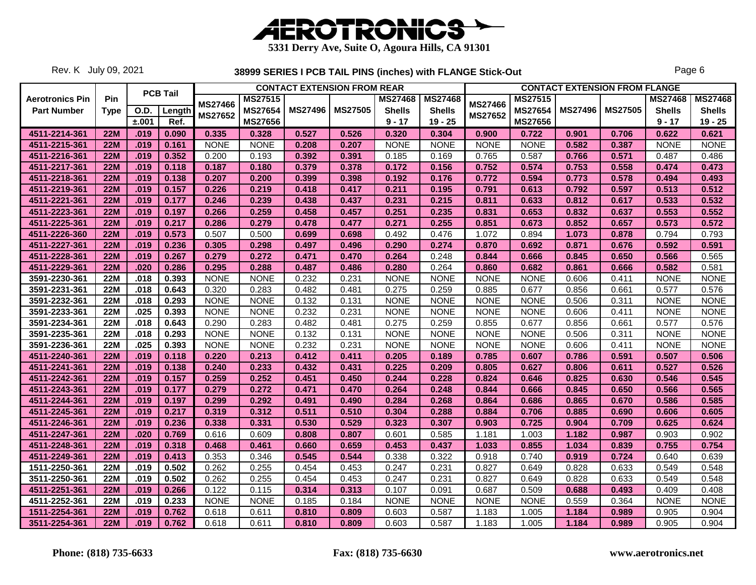

Rev. K July 09, 2021

|                        |             |             |                 |                |                | <b>CONTACT EXTENSION FROM REAR</b> |                |                |                |                |             |                | <b>CONTACT EXTENSION FROM FLANGE</b> |                |                |
|------------------------|-------------|-------------|-----------------|----------------|----------------|------------------------------------|----------------|----------------|----------------|----------------|-------------|----------------|--------------------------------------|----------------|----------------|
| <b>Aerotronics Pin</b> | <b>Pin</b>  |             | <b>PCB Tail</b> | <b>MS27466</b> | <b>MS27515</b> |                                    |                | <b>MS27468</b> | <b>MS27468</b> | <b>MS27466</b> | MS27515     |                |                                      | <b>MS27468</b> | <b>MS27468</b> |
| <b>Part Number</b>     | <b>Type</b> | <b>O.D.</b> | Length          | <b>MS27652</b> | <b>MS27654</b> | <b>MS27496</b>                     | <b>MS27505</b> | <b>Shells</b>  | <b>Shells</b>  | <b>MS27652</b> | MS27654     | <b>MS27496</b> | <b>MS27505</b>                       | <b>Shells</b>  | <b>Shells</b>  |
|                        |             | ±.001       | Ref.            |                | MS27656        |                                    |                | $9 - 17$       | $19 - 25$      |                | MS27656     |                |                                      | $9 - 17$       | $19 - 25$      |
| 4511-2214-361          | <b>22M</b>  | .019        | 0.090           | 0.335          | 0.328          | 0.527                              | 0.526          | 0.320          | 0.304          | 0.900          | 0.722       | 0.901          | 0.706                                | 0.622          | 0.621          |
| 4511-2215-361          | <b>22M</b>  | .019        | 0.161           | <b>NONE</b>    | <b>NONE</b>    | 0.208                              | 0.207          | <b>NONE</b>    | <b>NONE</b>    | <b>NONE</b>    | <b>NONE</b> | 0.582          | 0.387                                | <b>NONE</b>    | <b>NONE</b>    |
| 4511-2216-361          | 22M         | .019        | 0.352           | 0.200          | 0.193          | 0.392                              | 0.391          | 0.185          | 0.169          | 0.765          | 0.587       | 0.766          | 0.571                                | 0.487          | 0.486          |
| 4511-2217-361          | <b>22M</b>  | .019        | 0.118           | 0.187          | 0.180          | 0.379                              | 0.378          | 0.172          | 0.156          | 0.752          | 0.574       | 0.753          | 0.558                                | 0.474          | 0.473          |
| 4511-2218-361          | <b>22M</b>  | .019        | 0.138           | 0.207          | 0.200          | 0.399                              | 0.398          | 0.192          | 0.176          | 0.772          | 0.594       | 0.773          | 0.578                                | 0.494          | 0.493          |
| 4511-2219-361          | <b>22M</b>  | .019        | 0.157           | 0.226          | 0.219          | 0.418                              | 0.417          | 0.211          | 0.195          | 0.791          | 0.613       | 0.792          | 0.597                                | 0.513          | 0.512          |
| 4511-2221-361          | <b>22M</b>  | .019        | 0.177           | 0.246          | 0.239          | 0.438                              | 0.437          | 0.231          | 0.215          | 0.811          | 0.633       | 0.812          | 0.617                                | 0.533          | 0.532          |
| 4511-2223-361          | <b>22M</b>  | .019        | 0.197           | 0.266          | 0.259          | 0.458                              | 0.457          | 0.251          | 0.235          | 0.831          | 0.653       | 0.832          | 0.637                                | 0.553          | 0.552          |
| 4511-2225-361          | 22M         | .019        | 0.217           | 0.286          | 0.279          | 0.478                              | 0.477          | 0.271          | 0.255          | 0.851          | 0.673       | 0.852          | 0.657                                | 0.573          | 0.572          |
| 4511-2226-360          | <b>22M</b>  | .019        | 0.573           | 0.507          | 0.500          | 0.699                              | 0.698          | 0.492          | 0.476          | 1.072          | 0.894       | 1.073          | 0.878                                | 0.794          | 0.793          |
| 4511-2227-361          | <b>22M</b>  | .019        | 0.236           | 0.305          | 0.298          | 0.497                              | 0.496          | 0.290          | 0.274          | 0.870          | 0.692       | 0.871          | 0.676                                | 0.592          | 0.591          |
| 4511-2228-361          | <b>22M</b>  | .019        | 0.267           | 0.279          | 0.272          | 0.471                              | 0.470          | 0.264          | 0.248          | 0.844          | 0.666       | 0.845          | 0.650                                | 0.566          | 0.565          |
| 4511-2229-361          | <b>22M</b>  | .020        | 0.286           | 0.295          | 0.288          | 0.487                              | 0.486          | 0.280          | 0.264          | 0.860          | 0.682       | 0.861          | 0.666                                | 0.582          | 0.581          |
| 3591-2230-361          | <b>22M</b>  | .018        | 0.393           | <b>NONE</b>    | <b>NONE</b>    | 0.232                              | 0.231          | <b>NONE</b>    | <b>NONE</b>    | <b>NONE</b>    | <b>NONE</b> | 0.606          | 0.411                                | <b>NONE</b>    | <b>NONE</b>    |
| 3591-2231-361          | <b>22M</b>  | .018        | 0.643           | 0.320          | 0.283          | 0.482                              | 0.481          | 0.275          | 0.259          | 0.885          | 0.677       | 0.856          | 0.661                                | 0.577          | 0.576          |
| 3591-2232-361          | <b>22M</b>  | .018        | 0.293           | <b>NONE</b>    | <b>NONE</b>    | 0.132                              | 0.131          | <b>NONE</b>    | <b>NONE</b>    | <b>NONE</b>    | <b>NONE</b> | 0.506          | 0.311                                | <b>NONE</b>    | <b>NONE</b>    |
| 3591-2233-361          | 22M         | .025        | 0.393           | <b>NONE</b>    | <b>NONE</b>    | 0.232                              | 0.231          | <b>NONE</b>    | <b>NONE</b>    | <b>NONE</b>    | <b>NONE</b> | 0.606          | 0.411                                | <b>NONE</b>    | <b>NONE</b>    |
| 3591-2234-361          | <b>22M</b>  | .018        | 0.643           | 0.290          | 0.283          | 0.482                              | 0.481          | 0.275          | 0.259          | 0.855          | 0.677       | 0.856          | 0.661                                | 0.577          | 0.576          |
| 3591-2235-361          | <b>22M</b>  | .018        | 0.293           | <b>NONE</b>    | <b>NONE</b>    | 0.132                              | 0.131          | <b>NONE</b>    | <b>NONE</b>    | <b>NONE</b>    | <b>NONE</b> | 0.506          | 0.311                                | <b>NONE</b>    | <b>NONE</b>    |
| 3591-2236-361          | <b>22M</b>  | .025        | 0.393           | <b>NONE</b>    | <b>NONE</b>    | 0.232                              | 0.231          | <b>NONE</b>    | <b>NONE</b>    | <b>NONE</b>    | <b>NONE</b> | 0.606          | 0.411                                | <b>NONE</b>    | <b>NONE</b>    |
| 4511-2240-361          | <b>22M</b>  | .019        | 0.118           | 0.220          | 0.213          | 0.412                              | 0.411          | 0.205          | 0.189          | 0.785          | 0.607       | 0.786          | 0.591                                | 0.507          | 0.506          |
| 4511-2241-361          | <b>22M</b>  | .019        | 0.138           | 0.240          | 0.233          | 0.432                              | 0.431          | 0.225          | 0.209          | 0.805          | 0.627       | 0.806          | 0.611                                | 0.527          | 0.526          |
| 4511-2242-361          | 22M         | .019        | 0.157           | 0.259          | 0.252          | 0.451                              | 0.450          | 0.244          | 0.228          | 0.824          | 0.646       | 0.825          | 0.630                                | 0.546          | 0.545          |
| 4511-2243-361          | <b>22M</b>  | .019        | 0.177           | 0.279          | 0.272          | 0.471                              | 0.470          | 0.264          | 0.248          | 0.844          | 0.666       | 0.845          | 0.650                                | 0.566          | 0.565          |
| 4511-2244-361          | <b>22M</b>  | .019        | 0.197           | 0.299          | 0.292          | 0.491                              | 0.490          | 0.284          | 0.268          | 0.864          | 0.686       | 0.865          | 0.670                                | 0.586          | 0.585          |
| 4511-2245-361          | <b>22M</b>  | .019        | 0.217           | 0.319          | 0.312          | 0.511                              | 0.510          | 0.304          | 0.288          | 0.884          | 0.706       | 0.885          | 0.690                                | 0.606          | 0.605          |
| 4511-2246-361          | <b>22M</b>  | .019        | 0.236           | 0.338          | 0.331          | 0.530                              | 0.529          | 0.323          | 0.307          | 0.903          | 0.725       | 0.904          | 0.709                                | 0.625          | 0.624          |
| 4511-2247-361          | 22M         | .020        | 0.769           | 0.616          | 0.609          | 0.808                              | 0.807          | 0.601          | 0.585          | 1.181          | 1.003       | 1.182          | 0.987                                | 0.903          | 0.902          |
| 4511-2248-361          | <b>22M</b>  | .019        | 0.318           | 0.468          | 0.461          | 0.660                              | 0.659          | 0.453          | 0.437          | 1.033          | 0.855       | 1.034          | 0.839                                | 0.755          | 0.754          |
| 4511-2249-361          | <b>22M</b>  | .019        | 0.413           | 0.353          | 0.346          | 0.545                              | 0.544          | 0.338          | 0.322          | 0.918          | 0.740       | 0.919          | 0.724                                | 0.640          | 0.639          |
| 1511-2250-361          | <b>22M</b>  | .019        | 0.502           | 0.262          | 0.255          | 0.454                              | 0.453          | 0.247          | 0.231          | 0.827          | 0.649       | 0.828          | 0.633                                | 0.549          | 0.548          |
| 3511-2250-361          | <b>22M</b>  | .019        | 0.502           | 0.262          | 0.255          | 0.454                              | 0.453          | 0.247          | 0.231          | 0.827          | 0.649       | 0.828          | 0.633                                | 0.549          | 0.548          |
| 4511-2251-361          | <b>22M</b>  | .019        | 0.266           | 0.122          | 0.115          | 0.314                              | 0.313          | 0.107          | 0.091          | 0.687          | 0.509       | 0.688          | 0.493                                | 0.409          | 0.408          |
| 4511-2252-361          | <b>22M</b>  | .019        | 0.233           | <b>NONE</b>    | <b>NONE</b>    | 0.185                              | 0.184          | <b>NONE</b>    | <b>NONE</b>    | <b>NONE</b>    | <b>NONE</b> | 0.559          | 0.364                                | <b>NONE</b>    | <b>NONE</b>    |
| 1511-2254-361          | <b>22M</b>  | .019        | 0.762           | 0.618          | 0.611          | 0.810                              | 0.809          | 0.603          | 0.587          | 1.183          | 1.005       | 1.184          | 0.989                                | 0.905          | 0.904          |
| 3511-2254-361          | 22M         | .019        | 0.762           | 0.618          | 0.611          | 0.810                              | 0.809          | 0.603          | 0.587          | 1.183          | 1.005       | 1.184          | 0.989                                | 0.905          | 0.904          |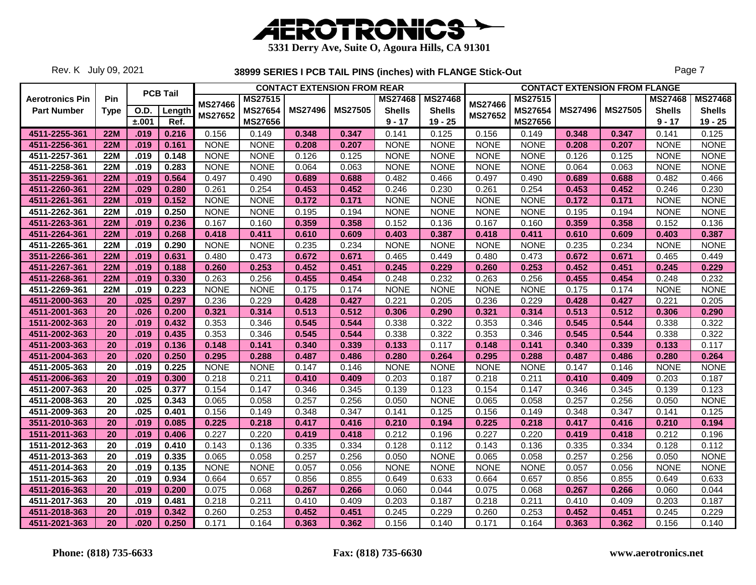

Rev. K July 09, 2021

|                        |             |             |                 |                |                |                | <b>CONTACT EXTENSION FROM REAR</b> |                |                |                |                |                | <b>CONTACT EXTENSION FROM FLANGE</b> |                |                |
|------------------------|-------------|-------------|-----------------|----------------|----------------|----------------|------------------------------------|----------------|----------------|----------------|----------------|----------------|--------------------------------------|----------------|----------------|
| <b>Aerotronics Pin</b> | <b>Pin</b>  |             | <b>PCB Tail</b> |                | <b>MS27515</b> |                |                                    | <b>MS27468</b> | <b>MS27468</b> |                | <b>MS27515</b> |                |                                      | <b>MS27468</b> | <b>MS27468</b> |
| <b>Part Number</b>     | <b>Type</b> | <b>O.D.</b> | Length          | <b>MS27466</b> | MS27654        | <b>MS27496</b> | <b>MS27505</b>                     | <b>Shells</b>  | <b>Shells</b>  | <b>MS27466</b> | MS27654        | <b>MS27496</b> | <b>MS27505</b>                       | <b>Shells</b>  | <b>Shells</b>  |
|                        |             | ±.001       | Ref.            | <b>MS27652</b> | <b>MS27656</b> |                |                                    | $9 - 17$       | $19 - 25$      | <b>MS27652</b> | <b>MS27656</b> |                |                                      | $9 - 17$       | $19 - 25$      |
| 4511-2255-361          | <b>22M</b>  | .019        | 0.216           | 0.156          | 0.149          | 0.348          | 0.347                              | 0.141          | 0.125          | 0.156          | 0.149          | 0.348          | 0.347                                | 0.141          | 0.125          |
| 4511-2256-361          | <b>22M</b>  | .019        | 0.161           | <b>NONE</b>    | <b>NONE</b>    | 0.208          | 0.207                              | <b>NONE</b>    | <b>NONE</b>    | <b>NONE</b>    | <b>NONE</b>    | 0.208          | 0.207                                | <b>NONE</b>    | <b>NONE</b>    |
| 4511-2257-361          | <b>22M</b>  | .019        | 0.148           | <b>NONE</b>    | <b>NONE</b>    | 0.126          | 0.125                              | <b>NONE</b>    | <b>NONE</b>    | <b>NONE</b>    | <b>NONE</b>    | 0.126          | 0.125                                | <b>NONE</b>    | <b>NONE</b>    |
| 4511-2258-361          | <b>22M</b>  | .019        | 0.283           | <b>NONE</b>    | <b>NONE</b>    | 0.064          | 0.063                              | <b>NONE</b>    | <b>NONE</b>    | <b>NONE</b>    | <b>NONE</b>    | 0.064          | 0.063                                | <b>NONE</b>    | <b>NONE</b>    |
| 3511-2259-361          | <b>22M</b>  | .019        | 0.564           | 0.497          | 0.490          | 0.689          | 0.688                              | 0.482          | 0.466          | 0.497          | 0.490          | 0.689          | 0.688                                | 0.482          | 0.466          |
| 4511-2260-361          | <b>22M</b>  | .029        | 0.280           | 0.261          | 0.254          | 0.453          | 0.452                              | 0.246          | 0.230          | 0.261          | 0.254          | 0.453          | 0.452                                | 0.246          | 0.230          |
| 4511-2261-361          | <b>22M</b>  | .019        | 0.152           | <b>NONE</b>    | <b>NONE</b>    | 0.172          | 0.171                              | <b>NONE</b>    | <b>NONE</b>    | <b>NONE</b>    | <b>NONE</b>    | 0.172          | 0.171                                | <b>NONE</b>    | <b>NONE</b>    |
| 4511-2262-361          | <b>22M</b>  | .019        | 0.250           | <b>NONE</b>    | <b>NONE</b>    | 0.195          | 0.194                              | <b>NONE</b>    | <b>NONE</b>    | <b>NONE</b>    | <b>NONE</b>    | 0.195          | 0.194                                | <b>NONE</b>    | <b>NONE</b>    |
| 4511-2263-361          | <b>22M</b>  | .019        | 0.236           | 0.167          | 0.160          | 0.359          | 0.358                              | 0.152          | 0.136          | 0.167          | 0.160          | 0.359          | 0.358                                | 0.152          | 0.136          |
| 4511-2264-361          | <b>22M</b>  | .019        | 0.268           | 0.418          | 0.411          | 0.610          | 0.609                              | 0.403          | 0.387          | 0.418          | 0.411          | 0.610          | 0.609                                | 0.403          | 0.387          |
| 4511-2265-361          | <b>22M</b>  | .019        | 0.290           | <b>NONE</b>    | <b>NONE</b>    | 0.235          | 0.234                              | <b>NONE</b>    | <b>NONE</b>    | <b>NONE</b>    | <b>NONE</b>    | 0.235          | 0.234                                | <b>NONE</b>    | <b>NONE</b>    |
| 3511-2266-361          | <b>22M</b>  | .019        | 0.631           | 0.480          | 0.473          | 0.672          | 0.671                              | 0.465          | 0.449          | 0.480          | 0.473          | 0.672          | 0.671                                | 0.465          | 0.449          |
| 4511-2267-361          | <b>22M</b>  | .019        | 0.188           | 0.260          | 0.253          | 0.452          | 0.451                              | 0.245          | 0.229          | 0.260          | 0.253          | 0.452          | 0.451                                | 0.245          | 0.229          |
| 4511-2268-361          | <b>22M</b>  | .019        | 0.330           | 0.263          | 0.256          | 0.455          | 0.454                              | 0.248          | 0.232          | 0.263          | 0.256          | 0.455          | 0.454                                | 0.248          | 0.232          |
| 4511-2269-361          | <b>22M</b>  | .019        | 0.223           | <b>NONE</b>    | <b>NONE</b>    | 0.175          | 0.174                              | <b>NONE</b>    | <b>NONE</b>    | <b>NONE</b>    | <b>NONE</b>    | 0.175          | 0.174                                | <b>NONE</b>    | <b>NONE</b>    |
| 4511-2000-363          | 20          | .025        | 0.297           | 0.236          | 0.229          | 0.428          | 0.427                              | 0.221          | 0.205          | 0.236          | 0.229          | 0.428          | 0.427                                | 0.221          | 0.205          |
| 4511-2001-363          | 20          | .026        | 0.200           | 0.321          | 0.314          | 0.513          | 0.512                              | 0.306          | 0.290          | 0.321          | 0.314          | 0.513          | 0.512                                | 0.306          | 0.290          |
| 1511-2002-363          | 20          | .019        | 0.432           | 0.353          | 0.346          | 0.545          | 0.544                              | 0.338          | 0.322          | 0.353          | 0.346          | 0.545          | 0.544                                | 0.338          | 0.322          |
| 4511-2002-363          | 20          | .019        | 0.435           | 0.353          | 0.346          | 0.545          | 0.544                              | 0.338          | 0.322          | 0.353          | 0.346          | 0.545          | 0.544                                | 0.338          | 0.322          |
| 4511-2003-363          | 20          | .019        | 0.136           | 0.148          | 0.141          | 0.340          | 0.339                              | 0.133          | 0.117          | 0.148          | 0.141          | 0.340          | 0.339                                | 0.133          | 0.117          |
| 4511-2004-363          | 20          | .020        | 0.250           | 0.295          | 0.288          | 0.487          | 0.486                              | 0.280          | 0.264          | 0.295          | 0.288          | 0.487          | 0.486                                | 0.280          | 0.264          |
| 4511-2005-363          | 20          | .019        | 0.225           | <b>NONE</b>    | <b>NONE</b>    | 0.147          | 0.146                              | <b>NONE</b>    | <b>NONE</b>    | <b>NONE</b>    | <b>NONE</b>    | 0.147          | 0.146                                | <b>NONE</b>    | <b>NONE</b>    |
| 4511-2006-363          | 20          | .019        | 0.300           | 0.218          | 0.211          | 0.410          | 0.409                              | 0.203          | 0.187          | 0.218          | 0.211          | 0.410          | 0.409                                | 0.203          | 0.187          |
| 4511-2007-363          | 20          | .025        | 0.377           | 0.154          | 0.147          | 0.346          | 0.345                              | 0.139          | 0.123          | 0.154          | 0.147          | 0.346          | 0.345                                | 0.139          | 0.123          |
| 4511-2008-363          | 20          | .025        | 0.343           | 0.065          | 0.058          | 0.257          | 0.256                              | 0.050          | <b>NONE</b>    | 0.065          | 0.058          | 0.257          | 0.256                                | 0.050          | <b>NONE</b>    |
| 4511-2009-363          | 20          | .025        | 0.401           | 0.156          | 0.149          | 0.348          | 0.347                              | 0.141          | 0.125          | 0.156          | 0.149          | 0.348          | 0.347                                | 0.141          | 0.125          |
| 3511-2010-363          | 20          | .019        | 0.085           | 0.225          | 0.218          | 0.417          | 0.416                              | 0.210          | 0.194          | 0.225          | 0.218          | 0.417          | 0.416                                | 0.210          | 0.194          |
| 1511-2011-363          | 20          | .019        | 0.406           | 0.227          | 0.220          | 0.419          | 0.418                              | 0.212          | 0.196          | 0.227          | 0.220          | 0.419          | 0.418                                | 0.212          | 0.196          |
| 1511-2012-363          | 20          | .019        | 0.410           | 0.143          | 0.136          | 0.335          | 0.334                              | 0.128          | 0.112          | 0.143          | 0.136          | 0.335          | 0.334                                | 0.128          | 0.112          |
| 4511-2013-363          | 20          | .019        | 0.335           | 0.065          | 0.058          | 0.257          | 0.256                              | 0.050          | <b>NONE</b>    | 0.065          | 0.058          | 0.257          | 0.256                                | 0.050          | <b>NONE</b>    |
| 4511-2014-363          | 20          | .019        | 0.135           | <b>NONE</b>    | <b>NONE</b>    | 0.057          | 0.056                              | <b>NONE</b>    | <b>NONE</b>    | <b>NONE</b>    | <b>NONE</b>    | 0.057          | 0.056                                | <b>NONE</b>    | <b>NONE</b>    |
| 1511-2015-363          | 20          | .019        | 0.934           | 0.664          | 0.657          | 0.856          | 0.855                              | 0.649          | 0.633          | 0.664          | 0.657          | 0.856          | 0.855                                | 0.649          | 0.633          |
| 4511-2016-363          | 20          | .019        | 0.200           | 0.075          | 0.068          | 0.267          | 0.266                              | 0.060          | 0.044          | 0.075          | 0.068          | 0.267          | 0.266                                | 0.060          | 0.044          |
| 4511-2017-363          | 20          | .019        | 0.481           | 0.218          | 0.211          | 0.410          | 0.409                              | 0.203          | 0.187          | 0.218          | 0.211          | 0.410          | 0.409                                | 0.203          | 0.187          |
| 4511-2018-363          | 20          | .019        | 0.342           | 0.260          | 0.253          | 0.452          | 0.451                              | 0.245          | 0.229          | 0.260          | 0.253          | 0.452          | 0.451                                | 0.245          | 0.229          |
| 4511-2021-363          | 20          | .020        | 0.250           | 0.171          | 0.164          | 0.363          | 0.362                              | 0.156          | 0.140          | 0.171          | 0.164          | 0.363          | 0.362                                | 0.156          | 0.140          |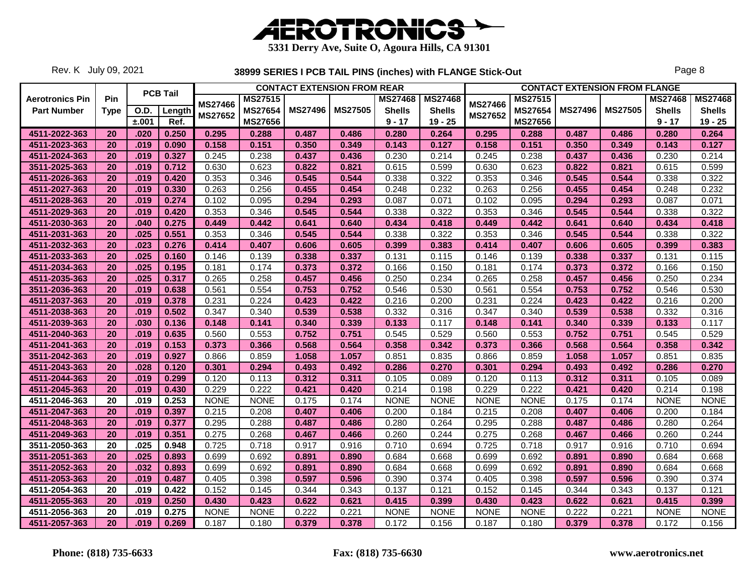

Rev. K July 09, 2021

|                        |             |             |                 |                |                |                | <b>CONTACT EXTENSION FROM REAR</b> |                |                |                |                |                | <b>CONTACT EXTENSION FROM FLANGE</b> |                |                |
|------------------------|-------------|-------------|-----------------|----------------|----------------|----------------|------------------------------------|----------------|----------------|----------------|----------------|----------------|--------------------------------------|----------------|----------------|
| <b>Aerotronics Pin</b> | Pin         |             | <b>PCB Tail</b> |                | <b>MS27515</b> |                |                                    | <b>MS27468</b> | <b>MS27468</b> |                | <b>MS27515</b> |                |                                      | <b>MS27468</b> | <b>MS27468</b> |
| <b>Part Number</b>     | <b>Type</b> | <b>O.D.</b> | Length          | <b>MS27466</b> | <b>MS27654</b> | <b>MS27496</b> | <b>MS27505</b>                     | <b>Shells</b>  | <b>Shells</b>  | <b>MS27466</b> | <b>MS27654</b> | <b>MS27496</b> | <b>MS27505</b>                       | <b>Shells</b>  | <b>Shells</b>  |
|                        |             | ±.001       | Ref.            | <b>MS27652</b> | MS27656        |                |                                    | $9 - 17$       | $19 - 25$      | MS27652        | MS27656        |                |                                      | $9 - 17$       | $19 - 25$      |
| 4511-2022-363          | 20          | .020        | 0.250           | 0.295          | 0.288          | 0.487          | 0.486                              | 0.280          | 0.264          | 0.295          | 0.288          | 0.487          | 0.486                                | 0.280          | 0.264          |
| 4511-2023-363          | 20          | .019        | 0.090           | 0.158          | 0.151          | 0.350          | 0.349                              | 0.143          | 0.127          | 0.158          | 0.151          | 0.350          | 0.349                                | 0.143          | 0.127          |
| 4511-2024-363          | 20          | .019        | 0.327           | 0.245          | 0.238          | 0.437          | 0.436                              | 0.230          | 0.214          | 0.245          | 0.238          | 0.437          | 0.436                                | 0.230          | 0.214          |
| 3511-2025-363          | 20          | .019        | 0.712           | 0.630          | 0.623          | 0.822          | 0.821                              | 0.615          | 0.599          | 0.630          | 0.623          | 0.822          | 0.821                                | 0.615          | 0.599          |
| 4511-2026-363          | 20          | .019        | 0.420           | 0.353          | 0.346          | 0.545          | 0.544                              | 0.338          | 0.322          | 0.353          | 0.346          | 0.545          | 0.544                                | 0.338          | 0.322          |
| 4511-2027-363          | 20          | .019        | 0.330           | 0.263          | 0.256          | 0.455          | 0.454                              | 0.248          | 0.232          | 0.263          | 0.256          | 0.455          | 0.454                                | 0.248          | 0.232          |
| 4511-2028-363          | 20          | .019        | 0.274           | 0.102          | 0.095          | 0.294          | 0.293                              | 0.087          | 0.071          | 0.102          | 0.095          | 0.294          | 0.293                                | 0.087          | 0.071          |
| 4511-2029-363          | 20          | .019        | 0.420           | 0.353          | 0.346          | 0.545          | 0.544                              | 0.338          | 0.322          | 0.353          | 0.346          | 0.545          | 0.544                                | 0.338          | 0.322          |
| 4511-2030-363          | 20          | .040        | 0.275           | 0.449          | 0.442          | 0.641          | 0.640                              | 0.434          | 0.418          | 0.449          | 0.442          | 0.641          | 0.640                                | 0.434          | 0.418          |
| 4511-2031-363          | 20          | .025        | 0.551           | 0.353          | 0.346          | 0.545          | 0.544                              | 0.338          | 0.322          | 0.353          | 0.346          | 0.545          | 0.544                                | 0.338          | 0.322          |
| 4511-2032-363          | 20          | .023        | 0.276           | 0.414          | 0.407          | 0.606          | 0.605                              | 0.399          | 0.383          | 0.414          | 0.407          | 0.606          | 0.605                                | 0.399          | 0.383          |
| 4511-2033-363          | 20          | .025        | 0.160           | 0.146          | 0.139          | 0.338          | 0.337                              | 0.131          | 0.115          | 0.146          | 0.139          | 0.338          | 0.337                                | 0.131          | 0.115          |
| 4511-2034-363          | 20          | .025        | 0.195           | 0.181          | 0.174          | 0.373          | 0.372                              | 0.166          | 0.150          | 0.181          | 0.174          | 0.373          | 0.372                                | 0.166          | 0.150          |
| 4511-2035-363          | 20          | .025        | 0.317           | 0.265          | 0.258          | 0.457          | 0.456                              | 0.250          | 0.234          | 0.265          | 0.258          | 0.457          | 0.456                                | 0.250          | 0.234          |
| 3511-2036-363          | 20          | .019        | 0.638           | 0.561          | 0.554          | 0.753          | 0.752                              | 0.546          | 0.530          | 0.561          | 0.554          | 0.753          | 0.752                                | 0.546          | 0.530          |
| 4511-2037-363          | 20          | .019        | 0.378           | 0.231          | 0.224          | 0.423          | 0.422                              | 0.216          | 0.200          | 0.231          | 0.224          | 0.423          | 0.422                                | 0.216          | 0.200          |
| 4511-2038-363          | 20          | .019        | 0.502           | 0.347          | 0.340          | 0.539          | 0.538                              | 0.332          | 0.316          | 0.347          | 0.340          | 0.539          | 0.538                                | 0.332          | 0.316          |
| 4511-2039-363          | 20          | .030        | 0.136           | 0.148          | 0.141          | 0.340          | 0.339                              | 0.133          | 0.117          | 0.148          | 0.141          | 0.340          | 0.339                                | 0.133          | 0.117          |
| 4511-2040-363          | 20          | .019        | 0.635           | 0.560          | 0.553          | 0.752          | 0.751                              | 0.545          | 0.529          | 0.560          | 0.553          | 0.752          | 0.751                                | 0.545          | 0.529          |
| 4511-2041-363          | 20          | .019        | 0.153           | 0.373          | 0.366          | 0.568          | 0.564                              | 0.358          | 0.342          | 0.373          | 0.366          | 0.568          | 0.564                                | 0.358          | 0.342          |
| 3511-2042-363          | 20          | .019        | 0.927           | 0.866          | 0.859          | 1.058          | 1.057                              | 0.851          | 0.835          | 0.866          | 0.859          | 1.058          | 1.057                                | 0.851          | 0.835          |
| 4511-2043-363          | 20          | .028        | 0.120           | 0.301          | 0.294          | 0.493          | 0.492                              | 0.286          | 0.270          | 0.301          | 0.294          | 0.493          | 0.492                                | 0.286          | 0.270          |
| 4511-2044-363          | 20          | .019        | 0.299           | 0.120          | 0.113          | 0.312          | 0.311                              | 0.105          | 0.089          | 0.120          | 0.113          | 0.312          | 0.311                                | 0.105          | 0.089          |
| 4511-2045-363          | 20          | .019        | 0.430           | 0.229          | 0.222          | 0.421          | 0.420                              | 0.214          | 0.198          | 0.229          | 0.222          | 0.421          | 0.420                                | 0.214          | 0.198          |
| 4511-2046-363          | 20          | .019        | 0.253           | <b>NONE</b>    | <b>NONE</b>    | 0.175          | 0.174                              | <b>NONE</b>    | <b>NONE</b>    | <b>NONE</b>    | <b>NONE</b>    | 0.175          | 0.174                                | <b>NONE</b>    | <b>NONE</b>    |
| 4511-2047-363          | 20          | .019        | 0.397           | 0.215          | 0.208          | 0.407          | 0.406                              | 0.200          | 0.184          | 0.215          | 0.208          | 0.407          | 0.406                                | 0.200          | 0.184          |
| 4511-2048-363          | 20          | .019        | 0.377           | 0.295          | 0.288          | 0.487          | 0.486                              | 0.280          | 0.264          | 0.295          | 0.288          | 0.487          | 0.486                                | 0.280          | 0.264          |
| 4511-2049-363          | 20          | .019        | 0.351           | 0.275          | 0.268          | 0.467          | 0.466                              | 0.260          | 0.244          | 0.275          | 0.268          | 0.467          | 0.466                                | 0.260          | 0.244          |
| 3511-2050-363          | 20          | .025        | 0.948           | 0.725          | 0.718          | 0.917          | 0.916                              | 0.710          | 0.694          | 0.725          | 0.718          | 0.917          | 0.916                                | 0.710          | 0.694          |
| 3511-2051-363          | 20          | .025        | 0.893           | 0.699          | 0.692          | 0.891          | 0.890                              | 0.684          | 0.668          | 0.699          | 0.692          | 0.891          | 0.890                                | 0.684          | 0.668          |
| 3511-2052-363          | 20          | .032        | 0.893           | 0.699          | 0.692          | 0.891          | 0.890                              | 0.684          | 0.668          | 0.699          | 0.692          | 0.891          | 0.890                                | 0.684          | 0.668          |
| 4511-2053-363          | 20          | .019        | 0.487           | 0.405          | 0.398          | 0.597          | 0.596                              | 0.390          | 0.374          | 0.405          | 0.398          | 0.597          | 0.596                                | 0.390          | 0.374          |
| 4511-2054-363          | 20          | .019        | 0.422           | 0.152          | 0.145          | 0.344          | 0.343                              | 0.137          | 0.121          | 0.152          | 0.145          | 0.344          | 0.343                                | 0.137          | 0.121          |
| 4511-2055-363          | 20          | .019        | 0.250           | 0.430          | 0.423          | 0.622          | 0.621                              | 0.415          | 0.399          | 0.430          | 0.423          | 0.622          | 0.621                                | 0.415          | 0.399          |
| 4511-2056-363          | 20          | .019        | 0.275           | <b>NONE</b>    | <b>NONE</b>    | 0.222          | 0.221                              | <b>NONE</b>    | <b>NONE</b>    | <b>NONE</b>    | <b>NONE</b>    | 0.222          | 0.221                                | <b>NONE</b>    | <b>NONE</b>    |
| 4511-2057-363          | 20          | .019        | 0.269           | 0.187          | 0.180          | 0.379          | 0.378                              | 0.172          | 0.156          | 0.187          | 0.180          | 0.379          | 0.378                                | 0.172          | 0.156          |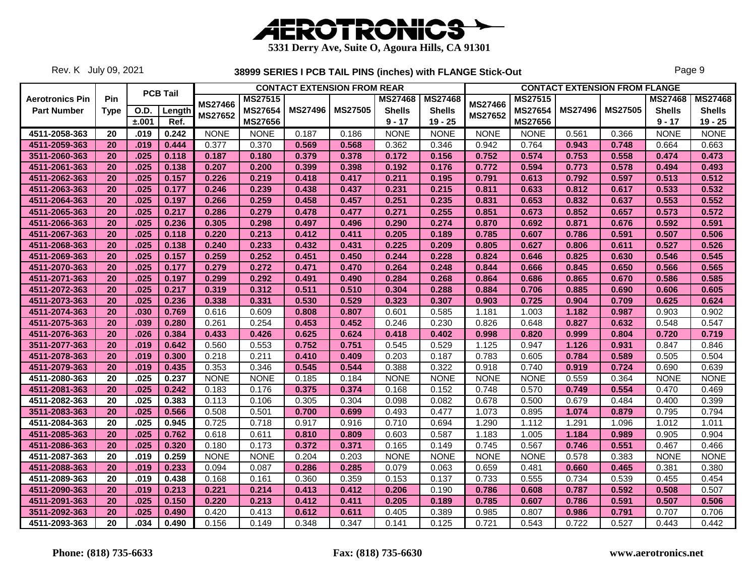

Rev. K July 09, 2021

|                        |                 |             |                 |                |                |                | <b>CONTACT EXTENSION FROM REAR</b> |                |                |                |                |                | <b>CONTACT EXTENSION FROM FLANGE</b> |                |                |
|------------------------|-----------------|-------------|-----------------|----------------|----------------|----------------|------------------------------------|----------------|----------------|----------------|----------------|----------------|--------------------------------------|----------------|----------------|
| <b>Aerotronics Pin</b> | Pin             |             | <b>PCB Tail</b> |                | <b>MS27515</b> |                |                                    | <b>MS27468</b> | <b>MS27468</b> |                | <b>MS27515</b> |                |                                      | <b>MS27468</b> | <b>MS27468</b> |
| <b>Part Number</b>     | <b>Type</b>     | <b>O.D.</b> | Length          | <b>MS27466</b> | <b>MS27654</b> | <b>MS27496</b> | <b>MS27505</b>                     | <b>Shells</b>  | <b>Shells</b>  | <b>MS27466</b> | <b>MS27654</b> | <b>MS27496</b> | <b>MS27505</b>                       | <b>Shells</b>  | <b>Shells</b>  |
|                        |                 | ±.001       | Ref.            | <b>MS27652</b> | MS27656        |                |                                    | $9 - 17$       | $19 - 25$      | <b>MS27652</b> | <b>MS27656</b> |                |                                      | $9 - 17$       | $19 - 25$      |
| 4511-2058-363          | 20              | .019        | 0.242           | <b>NONE</b>    | <b>NONE</b>    | 0.187          | 0.186                              | <b>NONE</b>    | <b>NONE</b>    | <b>NONE</b>    | <b>NONE</b>    | 0.561          | 0.366                                | <b>NONE</b>    | <b>NONE</b>    |
| 4511-2059-363          | 20              | .019        | 0.444           | 0.377          | 0.370          | 0.569          | 0.568                              | 0.362          | 0.346          | 0.942          | 0.764          | 0.943          | 0.748                                | 0.664          | 0.663          |
| 3511-2060-363          | 20              | .025        | 0.118           | 0.187          | 0.180          | 0.379          | 0.378                              | 0.172          | 0.156          | 0.752          | 0.574          | 0.753          | 0.558                                | 0.474          | 0.473          |
| 4511-2061-363          | 20              | .025        | 0.138           | 0.207          | 0.200          | 0.399          | 0.398                              | 0.192          | 0.176          | 0.772          | 0.594          | 0.773          | 0.578                                | 0.494          | 0.493          |
| 4511-2062-363          | 20              | .025        | 0.157           | 0.226          | 0.219          | 0.418          | 0.417                              | 0.211          | 0.195          | 0.791          | 0.613          | 0.792          | 0.597                                | 0.513          | 0.512          |
| 4511-2063-363          | 20              | .025        | 0.177           | 0.246          | 0.239          | 0.438          | 0.437                              | 0.231          | 0.215          | 0.811          | 0.633          | 0.812          | 0.617                                | 0.533          | 0.532          |
| 4511-2064-363          | 20              | .025        | 0.197           | 0.266          | 0.259          | 0.458          | 0.457                              | 0.251          | 0.235          | 0.831          | 0.653          | 0.832          | 0.637                                | 0.553          | 0.552          |
| 4511-2065-363          | 20              | .025        | 0.217           | 0.286          | 0.279          | 0.478          | 0.477                              | 0.271          | 0.255          | 0.851          | 0.673          | 0.852          | 0.657                                | 0.573          | 0.572          |
| 4511-2066-363          | 20              | .025        | 0.236           | 0.305          | 0.298          | 0.497          | 0.496                              | 0.290          | 0.274          | 0.870          | 0.692          | 0.871          | 0.676                                | 0.592          | 0.591          |
| 4511-2067-363          | 20              | .025        | 0.118           | 0.220          | 0.213          | 0.412          | 0.411                              | 0.205          | 0.189          | 0.785          | 0.607          | 0.786          | 0.591                                | 0.507          | 0.506          |
| 4511-2068-363          | 20              | .025        | 0.138           | 0.240          | 0.233          | 0.432          | 0.431                              | 0.225          | 0.209          | 0.805          | 0.627          | 0.806          | 0.611                                | 0.527          | 0.526          |
| 4511-2069-363          | 20              | .025        | 0.157           | 0.259          | 0.252          | 0.451          | 0.450                              | 0.244          | 0.228          | 0.824          | 0.646          | 0.825          | 0.630                                | 0.546          | 0.545          |
| 4511-2070-363          | 20              | .025        | 0.177           | 0.279          | 0.272          | 0.471          | 0.470                              | 0.264          | 0.248          | 0.844          | 0.666          | 0.845          | 0.650                                | 0.566          | 0.565          |
| 4511-2071-363          | 20              | .025        | 0.197           | 0.299          | 0.292          | 0.491          | 0.490                              | 0.284          | 0.268          | 0.864          | 0.686          | 0.865          | 0.670                                | 0.586          | 0.585          |
| 4511-2072-363          | 20              | .025        | 0.217           | 0.319          | 0.312          | 0.511          | 0.510                              | 0.304          | 0.288          | 0.884          | 0.706          | 0.885          | 0.690                                | 0.606          | 0.605          |
| 4511-2073-363          | 20              | .025        | 0.236           | 0.338          | 0.331          | 0.530          | 0.529                              | 0.323          | 0.307          | 0.903          | 0.725          | 0.904          | 0.709                                | 0.625          | 0.624          |
| 4511-2074-363          | 20              | .030        | 0.769           | 0.616          | 0.609          | 0.808          | 0.807                              | 0.601          | 0.585          | 1.181          | 1.003          | 1.182          | 0.987                                | 0.903          | 0.902          |
| 4511-2075-363          | 20              | .039        | 0.280           | 0.261          | 0.254          | 0.453          | 0.452                              | 0.246          | 0.230          | 0.826          | 0.648          | 0.827          | 0.632                                | 0.548          | 0.547          |
| 4511-2076-363          | 20              | .026        | 0.384           | 0.433          | 0.426          | 0.625          | 0.624                              | 0.418          | 0.402          | 0.998          | 0.820          | 0.999          | 0.804                                | 0.720          | 0.719          |
| 3511-2077-363          | 20              | .019        | 0.642           | 0.560          | 0.553          | 0.752          | 0.751                              | 0.545          | 0.529          | 1.125          | 0.947          | 1.126          | 0.931                                | 0.847          | 0.846          |
| 4511-2078-363          | 20              | .019        | 0.300           | 0.218          | 0.211          | 0.410          | 0.409                              | 0.203          | 0.187          | 0.783          | 0.605          | 0.784          | 0.589                                | 0.505          | 0.504          |
| 4511-2079-363          | 20              | .019        | 0.435           | 0.353          | 0.346          | 0.545          | 0.544                              | 0.388          | 0.322          | 0.918          | 0.740          | 0.919          | 0.724                                | 0.690          | 0.639          |
| 4511-2080-363          | 20              | .025        | 0.237           | <b>NONE</b>    | <b>NONE</b>    | 0.185          | 0.184                              | <b>NONE</b>    | <b>NONE</b>    | <b>NONE</b>    | <b>NONE</b>    | 0.559          | 0.364                                | <b>NONE</b>    | <b>NONE</b>    |
| 4511-2081-363          | 20              | .025        | 0.242           | 0.183          | 0.176          | 0.375          | 0.374                              | 0.168          | 0.152          | 0.748          | 0.570          | 0.749          | 0.554                                | 0.470          | 0.469          |
| 4511-2082-363          | 20              | .025        | 0.383           | 0.113          | 0.106          | 0.305          | 0.304                              | 0.098          | 0.082          | 0.678          | 0.500          | 0.679          | 0.484                                | 0.400          | 0.399          |
| 3511-2083-363          | 20              | .025        | 0.566           | 0.508          | 0.501          | 0.700          | 0.699                              | 0.493          | 0.477          | 1.073          | 0.895          | 1.074          | 0.879                                | 0.795          | 0.794          |
| 4511-2084-363          | 20              | .025        | 0.945           | 0.725          | 0.718          | 0.917          | 0.916                              | 0.710          | 0.694          | 1.290          | 1.112          | 1.291          | 1.096                                | 1.012          | 1.011          |
| 4511-2085-363          | 20              | .025        | 0.762           | 0.618          | 0.611          | 0.810          | 0.809                              | 0.603          | 0.587          | 1.183          | 1.005          | 1.184          | 0.989                                | 0.905          | 0.904          |
| 4511-2086-363          | 20              | .025        | 0.320           | 0.180          | 0.173          | 0.372          | 0.371                              | 0.165          | 0.149          | 0.745          | 0.567          | 0.746          | 0.551                                | 0.467          | 0.466          |
| 4511-2087-363          | 20              | .019        | 0.259           | <b>NONE</b>    | <b>NONE</b>    | 0.204          | 0.203                              | <b>NONE</b>    | <b>NONE</b>    | <b>NONE</b>    | <b>NONE</b>    | 0.578          | 0.383                                | <b>NONE</b>    | <b>NONE</b>    |
| 4511-2088-363          | 20              | .019        | 0.233           | 0.094          | 0.087          | 0.286          | 0.285                              | 0.079          | 0.063          | 0.659          | 0.481          | 0.660          | 0.465                                | 0.381          | 0.380          |
| 4511-2089-363          | 20              | .019        | 0.438           | 0.168          | 0.161          | 0.360          | 0.359                              | 0.153          | 0.137          | 0.733          | 0.555          | 0.734          | 0.539                                | 0.455          | 0.454          |
| 4511-2090-363          | 20              | .019        | 0.213           | 0.221          | 0.214          | 0.413          | 0.412                              | 0.206          | 0.190          | 0.786          | 0.608          | 0.787          | 0.592                                | 0.508          | 0.507          |
| 4511-2091-363          | 20              | .025        | 0.150           | 0.220          | 0.213          | 0.412          | 0.411                              | 0.205          | 0.189          | 0.785          | 0.607          | 0.786          | 0.591                                | 0.507          | 0.506          |
| 3511-2092-363          | 20              | .025        | 0.490           | 0.420          | 0.413          | 0.612          | 0.611                              | 0.405          | 0.389          | 0.985          | 0.807          | 0.986          | 0.791                                | 0.707          | 0.706          |
| 4511-2093-363          | $\overline{20}$ | .034        | 0.490           | 0.156          | 0.149          | 0.348          | 0.347                              | 0.141          | 0.125          | 0.721          | 0.543          | 0.722          | 0.527                                | 0.443          | 0.442          |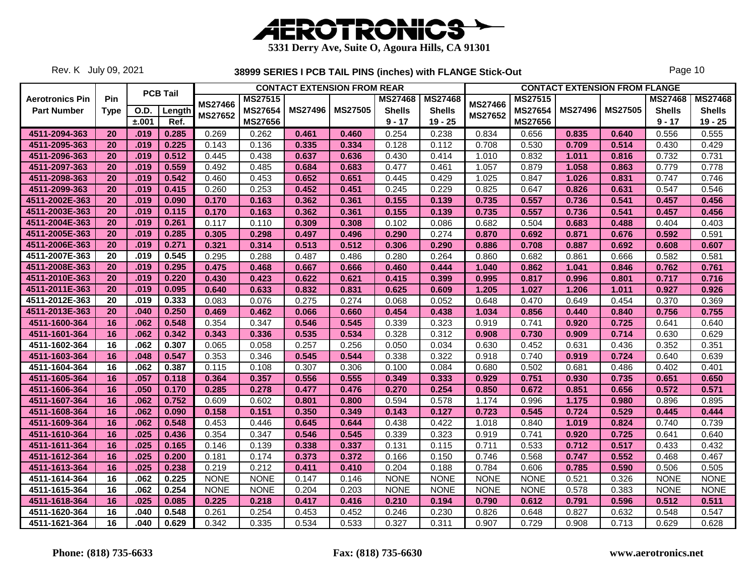

Rev. K July 09, 2021

|                        |             |             |                 |                |                | <b>CONTACT EXTENSION FROM REAR</b> |                |                |                |                |                |                | <b>CONTACT EXTENSION FROM FLANGE</b> |                |                |
|------------------------|-------------|-------------|-----------------|----------------|----------------|------------------------------------|----------------|----------------|----------------|----------------|----------------|----------------|--------------------------------------|----------------|----------------|
| <b>Aerotronics Pin</b> | Pin         |             | <b>PCB Tail</b> | <b>MS27466</b> | <b>MS27515</b> |                                    |                | <b>MS27468</b> | <b>MS27468</b> | <b>MS27466</b> | <b>MS27515</b> |                |                                      | <b>MS27468</b> | <b>MS27468</b> |
| <b>Part Number</b>     | <b>Type</b> | <b>O.D.</b> | Length          | MS27652        | <b>MS27654</b> | <b>MS27496</b>                     | <b>MS27505</b> | <b>Shells</b>  | <b>Shells</b>  | MS27652        | <b>MS27654</b> | <b>MS27496</b> | <b>MS27505</b>                       | <b>Shells</b>  | <b>Shells</b>  |
|                        |             | ±.001       | Ref.            |                | MS27656        |                                    |                | $9 - 17$       | $19 - 25$      |                | <b>MS27656</b> |                |                                      | $9 - 17$       | $19 - 25$      |
| 4511-2094-363          | 20          | .019        | 0.285           | 0.269          | 0.262          | 0.461                              | 0.460          | 0.254          | 0.238          | 0.834          | 0.656          | 0.835          | 0.640                                | 0.556          | 0.555          |
| 4511-2095-363          | 20          | .019        | 0.225           | 0.143          | 0.136          | 0.335                              | 0.334          | 0.128          | 0.112          | 0.708          | 0.530          | 0.709          | 0.514                                | 0.430          | 0.429          |
| 4511-2096-363          | 20          | .019        | 0.512           | 0.445          | 0.438          | 0.637                              | 0.636          | 0.430          | 0.414          | 1.010          | 0.832          | 1.011          | 0.816                                | 0.732          | 0.731          |
| 4511-2097-363          | 20          | .019        | 0.559           | 0.492          | 0.485          | 0.684                              | 0.683          | 0.477          | 0.461          | 1.057          | 0.879          | 1.058          | 0.863                                | 0.779          | 0.778          |
| 4511-2098-363          | 20          | .019        | 0.542           | 0.460          | 0.453          | 0.652                              | 0.651          | 0.445          | 0.429          | 1.025          | 0.847          | 1.026          | 0.831                                | 0.747          | 0.746          |
| 4511-2099-363          | 20          | .019        | 0.415           | 0.260          | 0.253          | 0.452                              | 0.451          | 0.245          | 0.229          | 0.825          | 0.647          | 0.826          | 0.631                                | 0.547          | 0.546          |
| 4511-2002E-363         | 20          | .019        | 0.090           | 0.170          | 0.163          | 0.362                              | 0.361          | 0.155          | 0.139          | 0.735          | 0.557          | 0.736          | 0.541                                | 0.457          | 0.456          |
| 4511-2003E-363         | 20          | .019        | 0.115           | 0.170          | 0.163          | 0.362                              | 0.361          | 0.155          | 0.139          | 0.735          | 0.557          | 0.736          | 0.541                                | 0.457          | 0.456          |
| 4511-2004E-363         | 20          | .019        | 0.261           | 0.117          | 0.110          | 0.309                              | 0.308          | 0.102          | 0.086          | 0.682          | 0.504          | 0.683          | 0.488                                | 0.404          | 0.403          |
| 4511-2005E-363         | 20          | .019        | 0.285           | 0.305          | 0.298          | 0.497                              | 0.496          | 0.290          | 0.274          | 0.870          | 0.692          | 0.871          | 0.676                                | 0.592          | 0.591          |
| 4511-2006E-363         | 20          | .019        | 0.271           | 0.321          | 0.314          | 0.513                              | 0.512          | 0.306          | 0.290          | 0.886          | 0.708          | 0.887          | 0.692                                | 0.608          | 0.607          |
| 4511-2007E-363         | 20          | .019        | 0.545           | 0.295          | 0.288          | 0.487                              | 0.486          | 0.280          | 0.264          | 0.860          | 0.682          | 0.861          | 0.666                                | 0.582          | 0.581          |
| 4511-2008E-363         | 20          | .019        | 0.295           | 0.475          | 0.468          | 0.667                              | 0.666          | 0.460          | 0.444          | 1.040          | 0.862          | 1.041          | 0.846                                | 0.762          | 0.761          |
| 4511-2010E-363         | 20          | .019        | 0.220           | 0.430          | 0.423          | 0.622                              | 0.621          | 0.415          | 0.399          | 0.995          | 0.817          | 0.996          | 0.801                                | 0.717          | 0.716          |
| 4511-2011E-363         | 20          | .019        | 0.095           | 0.640          | 0.633          | 0.832                              | 0.831          | 0.625          | 0.609          | 1.205          | 1.027          | 1.206          | 1.011                                | 0.927          | 0.926          |
| 4511-2012E-363         | 20          | .019        | 0.333           | 0.083          | 0.076          | 0.275                              | 0.274          | 0.068          | 0.052          | 0.648          | 0.470          | 0.649          | 0.454                                | 0.370          | 0.369          |
| 4511-2013E-363         | 20          | .040        | 0.250           | 0.469          | 0.462          | 0.066                              | 0.660          | 0.454          | 0.438          | 1.034          | 0.856          | 0.440          | 0.840                                | 0.756          | 0.755          |
| 4511-1600-364          | 16          | .062        | 0.548           | 0.354          | 0.347          | 0.546                              | 0.545          | 0.339          | 0.323          | 0.919          | 0.741          | 0.920          | 0.725                                | 0.641          | 0.640          |
| 4511-1601-364          | 16          | .062        | 0.342           | 0.343          | 0.336          | 0.535                              | 0.534          | 0.328          | 0.312          | 0.908          | 0.730          | 0.909          | 0.714                                | 0.630          | 0.629          |
| 4511-1602-364          | 16          | .062        | 0.307           | 0.065          | 0.058          | 0.257                              | 0.256          | 0.050          | 0.034          | 0.630          | 0.452          | 0.631          | 0.436                                | 0.352          | 0.351          |
| 4511-1603-364          | 16          | .048        | 0.547           | 0.353          | 0.346          | 0.545                              | 0.544          | 0.338          | 0.322          | 0.918          | 0.740          | 0.919          | 0.724                                | 0.640          | 0.639          |
| 4511-1604-364          | 16          | .062        | 0.387           | 0.115          | 0.108          | 0.307                              | 0.306          | 0.100          | 0.084          | 0.680          | 0.502          | 0.681          | 0.486                                | 0.402          | 0.401          |
| 4511-1605-364          | 16          | .057        | 0.118           | 0.364          | 0.357          | 0.556                              | 0.555          | 0.349          | 0.333          | 0.929          | 0.751          | 0.930          | 0.735                                | 0.651          | 0.650          |
| 4511-1606-364          | 16          | .050        | 0.170           | 0.285          | 0.278          | 0.477                              | 0.476          | 0.270          | 0.254          | 0.850          | 0.672          | 0.851          | 0.656                                | 0.572          | 0.571          |
| 4511-1607-364          | 16          | .062        | 0.752           | 0.609          | 0.602          | 0.801                              | 0.800          | 0.594          | 0.578          | 1.174          | 0.996          | 1.175          | 0.980                                | 0.896          | 0.895          |
| 4511-1608-364          | 16          | .062        | 0.090           | 0.158          | 0.151          | 0.350                              | 0.349          | 0.143          | 0.127          | 0.723          | 0.545          | 0.724          | 0.529                                | 0.445          | 0.444          |
| 4511-1609-364          | 16          | .062        | 0.548           | 0.453          | 0.446          | 0.645                              | 0.644          | 0.438          | 0.422          | 1.018          | 0.840          | 1.019          | 0.824                                | 0.740          | 0.739          |
| 4511-1610-364          | 16          | .025        | 0.436           | 0.354          | 0.347          | 0.546                              | 0.545          | 0.339          | 0.323          | 0.919          | 0.741          | 0.920          | 0.725                                | 0.641          | 0.640          |
| 4511-1611-364          | 16          | .025        | 0.165           | 0.146          | 0.139          | 0.338                              | 0.337          | 0.131          | 0.115          | 0.711          | 0.533          | 0.712          | 0.517                                | 0.433          | 0.432          |
| 4511-1612-364          | 16          | .025        | 0.200           | 0.181          | 0.174          | 0.373                              | 0.372          | 0.166          | 0.150          | 0.746          | 0.568          | 0.747          | 0.552                                | 0.468          | 0.467          |
| 4511-1613-364          | 16          | .025        | 0.238           | 0.219          | 0.212          | 0.411                              | 0.410          | 0.204          | 0.188          | 0.784          | 0.606          | 0.785          | 0.590                                | 0.506          | 0.505          |
| 4511-1614-364          | 16          | .062        | 0.225           | <b>NONE</b>    | <b>NONE</b>    | 0.147                              | 0.146          | <b>NONE</b>    | <b>NONE</b>    | <b>NONE</b>    | <b>NONE</b>    | 0.521          | 0.326                                | <b>NONE</b>    | <b>NONE</b>    |
| 4511-1615-364          | 16          | .062        | 0.254           | <b>NONE</b>    | <b>NONE</b>    | 0.204                              | 0.203          | <b>NONE</b>    | <b>NONE</b>    | <b>NONE</b>    | <b>NONE</b>    | 0.578          | 0.383                                | <b>NONE</b>    | <b>NONE</b>    |
| 4511-1618-364          | 16          | .025        | 0.085           | 0.225          | 0.218          | 0.417                              | 0.416          | 0.210          | 0.194          | 0.790          | 0.612          | 0.791          | 0.596                                | 0.512          | 0.511          |
| 4511-1620-364          | 16          | .040        | 0.548           | 0.261          | 0.254          | 0.453                              | 0.452          | 0.246          | 0.230          | 0.826          | 0.648          | 0.827          | 0.632                                | 0.548          | 0.547          |
| 4511-1621-364          | 16          | .040        | 0.629           | 0.342          | 0.335          | 0.534                              | 0.533          | 0.327          | 0.311          | 0.907          | 0.729          | 0.908          | 0.713                                | 0.629          | 0.628          |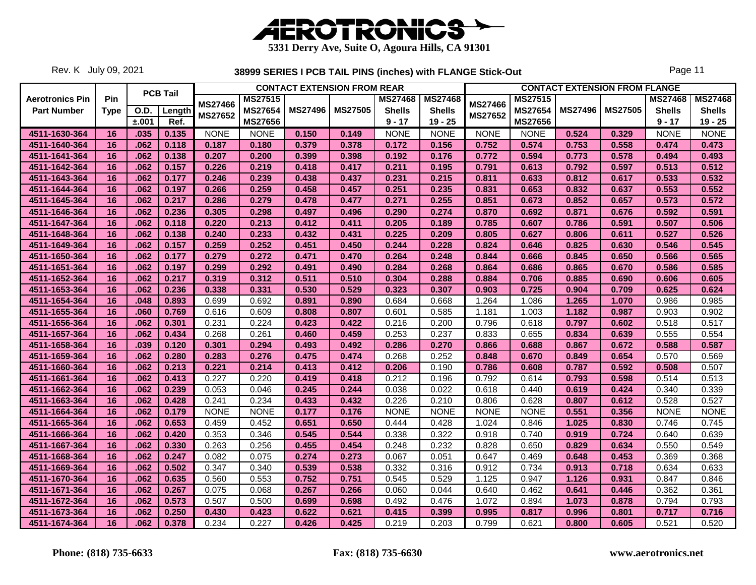

Rev. K July 09, 2021

|                        |             |             |                 |                |                |                | <b>CONTACT EXTENSION FROM REAR</b> |                |                |                |                |                | <b>CONTACT EXTENSION FROM FLANGE</b> |                |                |
|------------------------|-------------|-------------|-----------------|----------------|----------------|----------------|------------------------------------|----------------|----------------|----------------|----------------|----------------|--------------------------------------|----------------|----------------|
| <b>Aerotronics Pin</b> | Pin         |             | <b>PCB Tail</b> |                | <b>MS27515</b> |                |                                    | <b>MS27468</b> | <b>MS27468</b> |                | <b>MS27515</b> |                |                                      | <b>MS27468</b> | <b>MS27468</b> |
| <b>Part Number</b>     | <b>Type</b> | <b>O.D.</b> | Length          | <b>MS27466</b> | MS27654        | <b>MS27496</b> | <b>MS27505</b>                     | <b>Shells</b>  | <b>Shells</b>  | <b>MS27466</b> | MS27654        | <b>MS27496</b> | <b>MS27505</b>                       | <b>Shells</b>  | <b>Shells</b>  |
|                        |             | ±.001       | Ref.            | MS27652        | MS27656        |                |                                    | $9 - 17$       | $19 - 25$      | <b>MS27652</b> | MS27656        |                |                                      | $9 - 17$       | $19 - 25$      |
| 4511-1630-364          | 16          | .035        | 0.135           | <b>NONE</b>    | <b>NONE</b>    | 0.150          | 0.149                              | <b>NONE</b>    | <b>NONE</b>    | <b>NONE</b>    | <b>NONE</b>    | 0.524          | 0.329                                | <b>NONE</b>    | <b>NONE</b>    |
| 4511-1640-364          | 16          | .062        | 0.118           | 0.187          | 0.180          | 0.379          | 0.378                              | 0.172          | 0.156          | 0.752          | 0.574          | 0.753          | 0.558                                | 0.474          | 0.473          |
| 4511-1641-364          | 16          | .062        | 0.138           | 0.207          | 0.200          | 0.399          | 0.398                              | 0.192          | 0.176          | 0.772          | 0.594          | 0.773          | 0.578                                | 0.494          | 0.493          |
| 4511-1642-364          | 16          | .062        | 0.157           | 0.226          | 0.219          | 0.418          | 0.417                              | 0.211          | 0.195          | 0.791          | 0.613          | 0.792          | 0.597                                | 0.513          | 0.512          |
| 4511-1643-364          | 16          | .062        | 0.177           | 0.246          | 0.239          | 0.438          | 0.437                              | 0.231          | 0.215          | 0.811          | 0.633          | 0.812          | 0.617                                | 0.533          | 0.532          |
| 4511-1644-364          | 16          | .062        | 0.197           | 0.266          | 0.259          | 0.458          | 0.457                              | 0.251          | 0.235          | 0.831          | 0.653          | 0.832          | 0.637                                | 0.553          | 0.552          |
| 4511-1645-364          | 16          | .062        | 0.217           | 0.286          | 0.279          | 0.478          | 0.477                              | 0.271          | 0.255          | 0.851          | 0.673          | 0.852          | 0.657                                | 0.573          | 0.572          |
| 4511-1646-364          | 16          | .062        | 0.236           | 0.305          | 0.298          | 0.497          | 0.496                              | 0.290          | 0.274          | 0.870          | 0.692          | 0.871          | 0.676                                | 0.592          | 0.591          |
| 4511-1647-364          | 16          | .062        | 0.118           | 0.220          | 0.213          | 0.412          | 0.411                              | 0.205          | 0.189          | 0.785          | 0.607          | 0.786          | 0.591                                | 0.507          | 0.506          |
| 4511-1648-364          | 16          | .062        | 0.138           | 0.240          | 0.233          | 0.432          | 0.431                              | 0.225          | 0.209          | 0.805          | 0.627          | 0.806          | 0.611                                | 0.527          | 0.526          |
| 4511-1649-364          | 16          | .062        | 0.157           | 0.259          | 0.252          | 0.451          | 0.450                              | 0.244          | 0.228          | 0.824          | 0.646          | 0.825          | 0.630                                | 0.546          | 0.545          |
| 4511-1650-364          | 16          | .062        | 0.177           | 0.279          | 0.272          | 0.471          | 0.470                              | 0.264          | 0.248          | 0.844          | 0.666          | 0.845          | 0.650                                | 0.566          | 0.565          |
| 4511-1651-364          | 16          | .062        | 0.197           | 0.299          | 0.292          | 0.491          | 0.490                              | 0.284          | 0.268          | 0.864          | 0.686          | 0.865          | 0.670                                | 0.586          | 0.585          |
| 4511-1652-364          | 16          | .062        | 0.217           | 0.319          | 0.312          | 0.511          | 0.510                              | 0.304          | 0.288          | 0.884          | 0.706          | 0.885          | 0.690                                | 0.606          | 0.605          |
| 4511-1653-364          | 16          | .062        | 0.236           | 0.338          | 0.331          | 0.530          | 0.529                              | 0.323          | 0.307          | 0.903          | 0.725          | 0.904          | 0.709                                | 0.625          | 0.624          |
| 4511-1654-364          | 16          | .048        | 0.893           | 0.699          | 0.692          | 0.891          | 0.890                              | 0.684          | 0.668          | 1.264          | 1.086          | 1.265          | 1.070                                | 0.986          | 0.985          |
| 4511-1655-364          | 16          | .060        | 0.769           | 0.616          | 0.609          | 0.808          | 0.807                              | 0.601          | 0.585          | 1.181          | 1.003          | 1.182          | 0.987                                | 0.903          | 0.902          |
| 4511-1656-364          | 16          | .062        | 0.301           | 0.231          | 0.224          | 0.423          | 0.422                              | 0.216          | 0.200          | 0.796          | 0.618          | 0.797          | 0.602                                | 0.518          | 0.517          |
| 4511-1657-364          | 16          | .062        | 0.434           | 0.268          | 0.261          | 0.460          | 0.459                              | 0.253          | 0.237          | 0.833          | 0.655          | 0.834          | 0.639                                | 0.555          | 0.554          |
| 4511-1658-364          | 16          | .039        | 0.120           | 0.301          | 0.294          | 0.493          | 0.492                              | 0.286          | 0.270          | 0.866          | 0.688          | 0.867          | 0.672                                | 0.588          | 0.587          |
| 4511-1659-364          | 16          | .062        | 0.280           | 0.283          | 0.276          | 0.475          | 0.474                              | 0.268          | 0.252          | 0.848          | 0.670          | 0.849          | 0.654                                | 0.570          | 0.569          |
| 4511-1660-364          | 16          | .062        | 0.213           | 0.221          | 0.214          | 0.413          | 0.412                              | 0.206          | 0.190          | 0.786          | 0.608          | 0.787          | 0.592                                | 0.508          | 0.507          |
| 4511-1661-364          | 16          | .062        | 0.413           | 0.227          | 0.220          | 0.419          | 0.418                              | 0.212          | 0.196          | 0.792          | 0.614          | 0.793          | 0.598                                | 0.514          | 0.513          |
| 4511-1662-364          | 16          | .062        | 0.239           | 0.053          | 0.046          | 0.245          | 0.244                              | 0.038          | 0.022          | 0.618          | 0.440          | 0.619          | 0.424                                | 0.340          | 0.339          |
| 4511-1663-364          | 16          | .062        | 0.428           | 0.241          | 0.234          | 0.433          | 0.432                              | 0.226          | 0.210          | 0.806          | 0.628          | 0.807          | 0.612                                | 0.528          | 0.527          |
| 4511-1664-364          | 16          | .062        | 0.179           | <b>NONE</b>    | <b>NONE</b>    | 0.177          | 0.176                              | <b>NONE</b>    | <b>NONE</b>    | <b>NONE</b>    | <b>NONE</b>    | 0.551          | 0.356                                | <b>NONE</b>    | <b>NONE</b>    |
| 4511-1665-364          | 16          | .062        | 0.653           | 0.459          | 0.452          | 0.651          | 0.650                              | 0.444          | 0.428          | 1.024          | 0.846          | 1.025          | 0.830                                | 0.746          | 0.745          |
| 4511-1666-364          | 16          | .062        | 0.420           | 0.353          | 0.346          | 0.545          | 0.544                              | 0.338          | 0.322          | 0.918          | 0.740          | 0.919          | 0.724                                | 0.640          | 0.639          |
| 4511-1667-364          | 16          | .062        | 0.330           | 0.263          | 0.256          | 0.455          | 0.454                              | 0.248          | 0.232          | 0.828          | 0.650          | 0.829          | 0.634                                | 0.550          | 0.549          |
| 4511-1668-364          | 16          | .062        | 0.247           | 0.082          | 0.075          | 0.274          | 0.273                              | 0.067          | 0.051          | 0.647          | 0.469          | 0.648          | 0.453                                | 0.369          | 0.368          |
| 4511-1669-364          | 16          | .062        | 0.502           | 0.347          | 0.340          | 0.539          | 0.538                              | 0.332          | 0.316          | 0.912          | 0.734          | 0.913          | 0.718                                | 0.634          | 0.633          |
| 4511-1670-364          | 16          | .062        | 0.635           | 0.560          | 0.553          | 0.752          | 0.751                              | 0.545          | 0.529          | 1.125          | 0.947          | 1.126          | 0.931                                | 0.847          | 0.846          |
| 4511-1671-364          | 16          | .062        | 0.267           | 0.075          | 0.068          | 0.267          | 0.266                              | 0.060          | 0.044          | 0.640          | 0.462          | 0.641          | 0.446                                | 0.362          | 0.361          |
| 4511-1672-364          | 16          | .062        | 0.573           | 0.507          | 0.500          | 0.699          | 0.698                              | 0.492          | 0.476          | 1.072          | 0.894          | 1.073          | 0.878                                | 0.794          | 0.793          |
| 4511-1673-364          | 16          | .062        | 0.250           | 0.430          | 0.423          | 0.622          | 0.621                              | 0.415          | 0.399          | 0.995          | 0.817          | 0.996          | 0.801                                | 0.717          | 0.716          |
| 4511-1674-364          | 16          | .062        | 0.378           | 0.234          | 0.227          | 0.426          | 0.425                              | 0.219          | 0.203          | 0.799          | 0.621          | 0.800          | 0.605                                | 0.521          | 0.520          |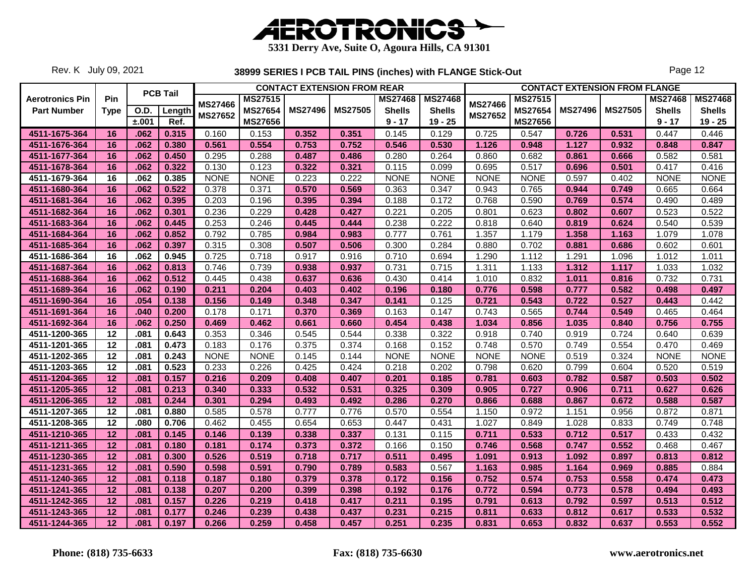

Rev. K July 09, 2021

|                        |                 |             |                 |                           |                |                | <b>CONTACT EXTENSION FROM REAR</b> |                |                |                |                |                | <b>CONTACT EXTENSION FROM FLANGE</b> |                |                |
|------------------------|-----------------|-------------|-----------------|---------------------------|----------------|----------------|------------------------------------|----------------|----------------|----------------|----------------|----------------|--------------------------------------|----------------|----------------|
| <b>Aerotronics Pin</b> | Pin             |             | <b>PCB Tail</b> |                           | <b>MS27515</b> |                |                                    | <b>MS27468</b> | <b>MS27468</b> | <b>MS27466</b> | <b>MS27515</b> |                |                                      | <b>MS27468</b> | <b>MS27468</b> |
| <b>Part Number</b>     | <b>Type</b>     | <b>O.D.</b> | Length          | <b>MS27466</b><br>MS27652 | <b>MS27654</b> | <b>MS27496</b> | <b>MS27505</b>                     | <b>Shells</b>  | <b>Shells</b>  | <b>MS27652</b> | <b>MS27654</b> | <b>MS27496</b> | <b>MS27505</b>                       | <b>Shells</b>  | <b>Shells</b>  |
|                        |                 | ±.001       | Ref.            |                           | MS27656        |                |                                    | $9 - 17$       | $19 - 25$      |                | MS27656        |                |                                      | $9 - 17$       | $19 - 25$      |
| 4511-1675-364          | 16              | .062        | 0.315           | 0.160                     | 0.153          | 0.352          | 0.351                              | 0.145          | 0.129          | 0.725          | 0.547          | 0.726          | 0.531                                | 0.447          | 0.446          |
| 4511-1676-364          | 16              | .062        | 0.380           | 0.561                     | 0.554          | 0.753          | 0.752                              | 0.546          | 0.530          | 1.126          | 0.948          | 1.127          | 0.932                                | 0.848          | 0.847          |
| 4511-1677-364          | 16              | .062        | 0.450           | 0.295                     | 0.288          | 0.487          | 0.486                              | 0.280          | 0.264          | 0.860          | 0.682          | 0.861          | 0.666                                | 0.582          | 0.581          |
| 4511-1678-364          | 16              | .062        | 0.322           | 0.130                     | 0.123          | 0.322          | 0.321                              | 0.115          | 0.099          | 0.695          | 0.517          | 0.696          | 0.501                                | 0.417          | 0.416          |
| 4511-1679-364          | 16              | .062        | 0.385           | <b>NONE</b>               | <b>NONE</b>    | 0.223          | 0.222                              | <b>NONE</b>    | <b>NONE</b>    | <b>NONE</b>    | <b>NONE</b>    | 0.597          | 0.402                                | <b>NONE</b>    | <b>NONE</b>    |
| 4511-1680-364          | 16              | .062        | 0.522           | 0.378                     | 0.371          | 0.570          | 0.569                              | 0.363          | 0.347          | 0.943          | 0.765          | 0.944          | 0.749                                | 0.665          | 0.664          |
| 4511-1681-364          | 16              | .062        | 0.395           | 0.203                     | 0.196          | 0.395          | 0.394                              | 0.188          | 0.172          | 0.768          | 0.590          | 0.769          | 0.574                                | 0.490          | 0.489          |
| 4511-1682-364          | 16              | .062        | 0.301           | 0.236                     | 0.229          | 0.428          | 0.427                              | 0.221          | 0.205          | 0.801          | 0.623          | 0.802          | 0.607                                | 0.523          | 0.522          |
| 4511-1683-364          | 16              | .062        | 0.445           | 0.253                     | 0.246          | 0.445          | 0.444                              | 0.238          | 0.222          | 0.818          | 0.640          | 0.819          | 0.624                                | 0.540          | 0.539          |
| 4511-1684-364          | 16              | .062        | 0.852           | 0.792                     | 0.785          | 0.984          | 0.983                              | 0.777          | 0.761          | 1.357          | 1.179          | 1.358          | 1.163                                | 1.079          | 1.078          |
| 4511-1685-364          | 16              | .062        | 0.397           | 0.315                     | 0.308          | 0.507          | 0.506                              | 0.300          | 0.284          | 0.880          | 0.702          | 0.881          | 0.686                                | 0.602          | 0.601          |
| 4511-1686-364          | 16              | .062        | 0.945           | 0.725                     | 0.718          | 0.917          | 0.916                              | 0.710          | 0.694          | 1.290          | 1.112          | 1.291          | 1.096                                | 1.012          | 1.011          |
| 4511-1687-364          | 16              | .062        | 0.813           | 0.746                     | 0.739          | 0.938          | 0.937                              | 0.731          | 0.715          | 1.311          | 1.133          | 1.312          | 1.117                                | 1.033          | 1.032          |
| 4511-1688-364          | 16              | .062        | 0.512           | 0.445                     | 0.438          | 0.637          | 0.636                              | 0.430          | 0.414          | 1.010          | 0.832          | 1.011          | 0.816                                | 0.732          | 0.731          |
| 4511-1689-364          | 16              | .062        | 0.190           | 0.211                     | 0.204          | 0.403          | 0.402                              | 0.196          | 0.180          | 0.776          | 0.598          | 0.777          | 0.582                                | 0.498          | 0.497          |
| 4511-1690-364          | 16              | .054        | 0.138           | 0.156                     | 0.149          | 0.348          | 0.347                              | 0.141          | 0.125          | 0.721          | 0.543          | 0.722          | 0.527                                | 0.443          | 0.442          |
| 4511-1691-364          | 16              | .040        | 0.200           | 0.178                     | 0.171          | 0.370          | 0.369                              | 0.163          | 0.147          | 0.743          | 0.565          | 0.744          | 0.549                                | 0.465          | 0.464          |
| 4511-1692-364          | 16              | .062        | 0.250           | 0.469                     | 0.462          | 0.661          | 0.660                              | 0.454          | 0.438          | 1.034          | 0.856          | 1.035          | 0.840                                | 0.756          | 0.755          |
| 4511-1200-365          | 12              | .081        | 0.643           | 0.353                     | 0.346          | 0.545          | 0.544                              | 0.338          | 0.322          | 0.918          | 0.740          | 0.919          | 0.724                                | 0.640          | 0.639          |
| 4511-1201-365          | 12              | .081        | 0.473           | 0.183                     | 0.176          | 0.375          | 0.374                              | 0.168          | 0.152          | 0.748          | 0.570          | 0.749          | 0.554                                | 0.470          | 0.469          |
| 4511-1202-365          | 12              | .081        | 0.243           | <b>NONE</b>               | <b>NONE</b>    | 0.145          | 0.144                              | <b>NONE</b>    | <b>NONE</b>    | <b>NONE</b>    | <b>NONE</b>    | 0.519          | 0.324                                | <b>NONE</b>    | <b>NONE</b>    |
| 4511-1203-365          | 12              | .081        | 0.523           | 0.233                     | 0.226          | 0.425          | 0.424                              | 0.218          | 0.202          | 0.798          | 0.620          | 0.799          | 0.604                                | 0.520          | 0.519          |
| 4511-1204-365          | $\overline{12}$ | .081        | 0.157           | 0.216                     | 0.209          | 0.408          | 0.407                              | 0.201          | 0.185          | 0.781          | 0.603          | 0.782          | 0.587                                | 0.503          | 0.502          |
| 4511-1205-365          | 12              | .081        | 0.213           | 0.340                     | 0.333          | 0.532          | 0.531                              | 0.325          | 0.309          | 0.905          | 0.727          | 0.906          | 0.711                                | 0.627          | 0.626          |
| 4511-1206-365          | 12              | .081        | 0.244           | 0.301                     | 0.294          | 0.493          | 0.492                              | 0.286          | 0.270          | 0.866          | 0.688          | 0.867          | 0.672                                | 0.588          | 0.587          |
| 4511-1207-365          | $12 \,$         | .081        | 0.880           | 0.585                     | 0.578          | 0.777          | 0.776                              | 0.570          | 0.554          | 1.150          | 0.972          | 1.151          | 0.956                                | 0.872          | 0.871          |
| 4511-1208-365          | 12              | .080        | 0.706           | 0.462                     | 0.455          | 0.654          | 0.653                              | 0.447          | 0.431          | 1.027          | 0.849          | 1.028          | 0.833                                | 0.749          | 0.748          |
| 4511-1210-365          | 12              | .081        | 0.145           | 0.146                     | 0.139          | 0.338          | 0.337                              | 0.131          | 0.115          | 0.711          | 0.533          | 0.712          | 0.517                                | 0.433          | 0.432          |
| 4511-1211-365          | 12              | .081        | 0.180           | 0.181                     | 0.174          | 0.373          | 0.372                              | 0.166          | 0.150          | 0.746          | 0.568          | 0.747          | 0.552                                | 0.468          | 0.467          |
| 4511-1230-365          | 12              | .081        | 0.300           | 0.526                     | 0.519          | 0.718          | 0.717                              | 0.511          | 0.495          | 1.091          | 0.913          | 1.092          | 0.897                                | 0.813          | 0.812          |
| 4511-1231-365          | 12              | .081        | 0.590           | 0.598                     | 0.591          | 0.790          | 0.789                              | 0.583          | 0.567          | 1.163          | 0.985          | 1.164          | 0.969                                | 0.885          | 0.884          |
| 4511-1240-365          | 12              | .081        | 0.118           | 0.187                     | 0.180          | 0.379          | 0.378                              | 0.172          | 0.156          | 0.752          | 0.574          | 0.753          | 0.558                                | 0.474          | 0.473          |
| 4511-1241-365          | 12              | .081        | 0.138           | 0.207                     | 0.200          | 0.399          | 0.398                              | 0.192          | 0.176          | 0.772          | 0.594          | 0.773          | 0.578                                | 0.494          | 0.493          |
| 4511-1242-365          | 12              | .081        | 0.157           | 0.226                     | 0.219          | 0.418          | 0.417                              | 0.211          | 0.195          | 0.791          | 0.613          | 0.792          | 0.597                                | 0.513          | 0.512          |
| 4511-1243-365          | 12              | .081        | 0.177           | 0.246                     | 0.239          | 0.438          | 0.437                              | 0.231          | 0.215          | 0.811          | 0.633          | 0.812          | 0.617                                | 0.533          | 0.532          |
| 4511-1244-365          | 12              | .081        | 0.197           | 0.266                     | 0.259          | 0.458          | 0.457                              | 0.251          | 0.235          | 0.831          | 0.653          | 0.832          | 0.637                                | 0.553          | 0.552          |